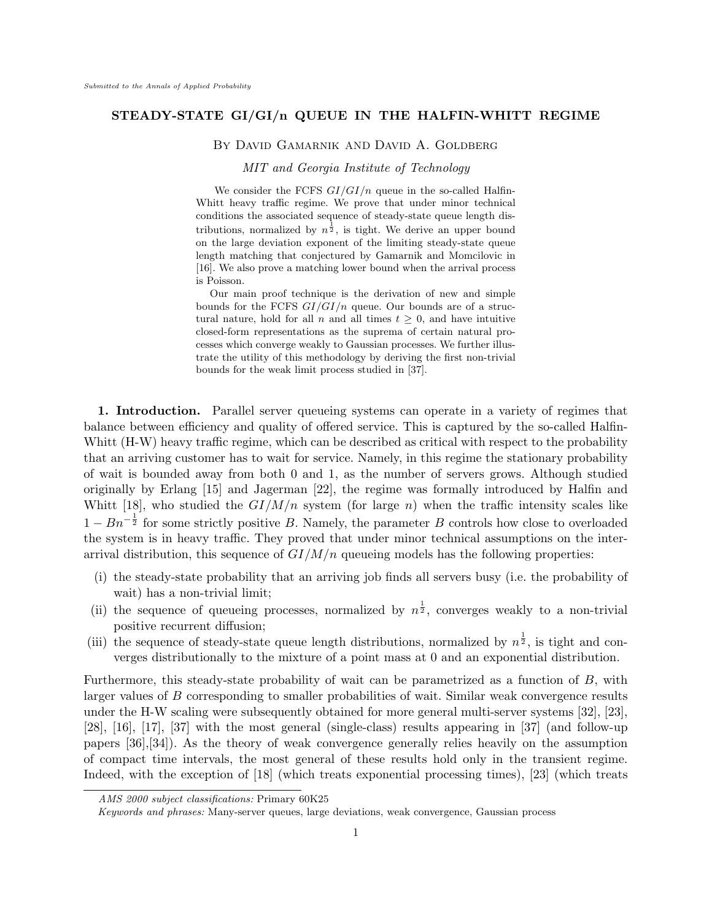# **STEADY-STATE GI/GI/n QUEUE IN THE HALFIN-WHITT REGIME**

#### By David Gamarnik AND David A. Goldberg

### *MIT and Georgia Institute of Technology*

We consider the FCFS  $GI/GI/n$  queue in the so-called Halfin-Whitt heavy traffic regime. We prove that under minor technical conditions the associated sequence of steady-state queue length distributions, normalized by  $n^{\frac{1}{2}}$ , is tight. We derive an upper bound on the large deviation exponent of the limiting steady-state queue length matching that conjectured by Gamarnik and Momcilovic in [16]. We also prove a matching lower bound when the arrival process is Poisson.

Our main proof technique is the derivation of new and simple bounds for the FCFS *GI/GI/n* queue. Our bounds are of a structural nature, hold for all  $n$  and all times  $t \geq 0$ , and have intuitive closed-form representations as the suprema of certain natural processes which converge weakly to Gaussian processes. We further illustrate the utility of this methodology by deriving the first non-trivial bounds for the weak limit process studied in [37].

**1. Introduction.** Parallel server queueing systems can operate in a variety of regimes that balance between efficiency and quality of offered service. This is captured by the so-called Halfin-Whitt (H-W) heavy traffic regime, which can be described as critical with respect to the probability that an arriving customer has to wait for service. Namely, in this regime the stationary probability of wait is bounded away from both 0 and 1, as the number of servers grows. Although studied originally by Erlang [15] and Jagerman [22], the regime was formally introduced by Halfin and Whitt [18], who studied the  $GI/M/n$  system (for large *n*) when the traffic intensity scales like 1 *−*  $Bn^{-\frac{1}{2}}$  for some strictly positive *B*. Namely, the parameter *B* controls how close to overloaded the system is in heavy traffic. They proved that under minor technical assumptions on the interarrival distribution, this sequence of *GI/M/n* queueing models has the following properties:

- (i) the steady-state probability that an arriving job finds all servers busy (i.e. the probability of wait) has a non-trivial limit;
- (ii) the sequence of queueing processes, normalized by  $n^{\frac{1}{2}}$ , converges weakly to a non-trivial positive recurrent diffusion;
- (iii) the sequence of steady-state queue length distributions, normalized by  $n^{\frac{1}{2}}$ , is tight and converges distributionally to the mixture of a point mass at 0 and an exponential distribution.

Furthermore, this steady-state probability of wait can be parametrized as a function of *B*, with larger values of *B* corresponding to smaller probabilities of wait. Similar weak convergence results under the H-W scaling were subsequently obtained for more general multi-server systems [32], [23], [28], [16], [17], [37] with the most general (single-class) results appearing in [37] (and follow-up papers [36],[34]). As the theory of weak convergence generally relies heavily on the assumption of compact time intervals, the most general of these results hold only in the transient regime. Indeed, with the exception of [18] (which treats exponential processing times), [23] (which treats

*AMS 2000 subject classifications:* Primary 60K25

*Keywords and phrases:* Many-server queues, large deviations, weak convergence, Gaussian process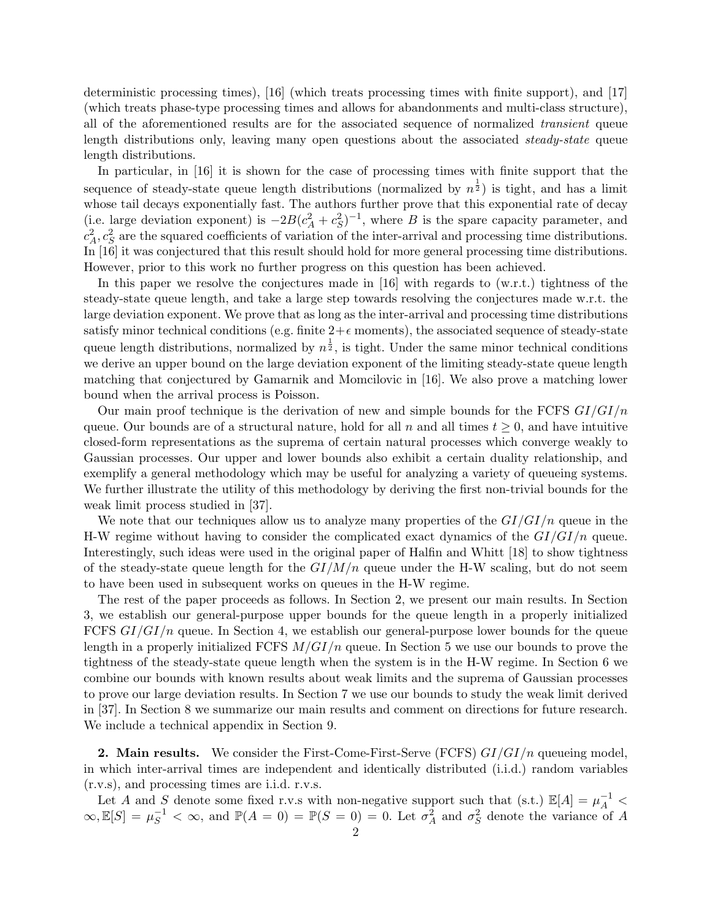deterministic processing times), [16] (which treats processing times with finite support), and [17] (which treats phase-type processing times and allows for abandonments and multi-class structure), all of the aforementioned results are for the associated sequence of normalized *transient* queue length distributions only, leaving many open questions about the associated *steady-state* queue length distributions.

In particular, in [16] it is shown for the case of processing times with finite support that the sequence of steady-state queue length distributions (normalized by  $n^{\frac{1}{2}}$ ) is tight, and has a limit whose tail decays exponentially fast. The authors further prove that this exponential rate of decay (i.e. large deviation exponent) is  $-2B(c_A^2 + c_S^2)^{-1}$ , where *B* is the spare capacity parameter, and  $c_A^2$ ,  $c_S^2$  are the squared coefficients of variation of the inter-arrival and processing time distributions. In [16] it was conjectured that this result should hold for more general processing time distributions. However, prior to this work no further progress on this question has been achieved.

In this paper we resolve the conjectures made in [16] with regards to (w.r.t.) tightness of the steady-state queue length, and take a large step towards resolving the conjectures made w.r.t. the large deviation exponent. We prove that as long as the inter-arrival and processing time distributions satisfy minor technical conditions (e.g. finite  $2+\epsilon$  moments), the associated sequence of steady-state queue length distributions, normalized by  $n^{\frac{1}{2}}$ , is tight. Under the same minor technical conditions we derive an upper bound on the large deviation exponent of the limiting steady-state queue length matching that conjectured by Gamarnik and Momcilovic in [16]. We also prove a matching lower bound when the arrival process is Poisson.

Our main proof technique is the derivation of new and simple bounds for the FCFS *GI/GI/n* queue. Our bounds are of a structural nature, hold for all *n* and all times  $t \geq 0$ , and have intuitive closed-form representations as the suprema of certain natural processes which converge weakly to Gaussian processes. Our upper and lower bounds also exhibit a certain duality relationship, and exemplify a general methodology which may be useful for analyzing a variety of queueing systems. We further illustrate the utility of this methodology by deriving the first non-trivial bounds for the weak limit process studied in [37].

We note that our techniques allow us to analyze many properties of the *GI/GI/n* queue in the H-W regime without having to consider the complicated exact dynamics of the *GI/GI/n* queue. Interestingly, such ideas were used in the original paper of Halfin and Whitt [18] to show tightness of the steady-state queue length for the  $GI/M/n$  queue under the H-W scaling, but do not seem to have been used in subsequent works on queues in the H-W regime.

The rest of the paper proceeds as follows. In Section 2, we present our main results. In Section 3, we establish our general-purpose upper bounds for the queue length in a properly initialized FCFS *GI/GI/n* queue. In Section 4, we establish our general-purpose lower bounds for the queue length in a properly initialized FCFS *M/GI/n* queue. In Section 5 we use our bounds to prove the tightness of the steady-state queue length when the system is in the H-W regime. In Section 6 we combine our bounds with known results about weak limits and the suprema of Gaussian processes to prove our large deviation results. In Section 7 we use our bounds to study the weak limit derived in [37]. In Section 8 we summarize our main results and comment on directions for future research. We include a technical appendix in Section 9.

**2. Main results.** We consider the First-Come-First-Serve (FCFS) *GI/GI/n* queueing model, in which inter-arrival times are independent and identically distributed (i.i.d.) random variables (r.v.s), and processing times are i.i.d. r.v.s.

Let *A* and *S* denote some fixed r.v.s with non-negative support such that (s.t.)  $\mathbb{E}[A] = \mu_A^{-1}$  $\infty$ ,  $\mathbb{E}[S] = \mu_S^{-1} < \infty$ , and  $\mathbb{P}(A = 0) = \mathbb{P}(S = 0) = 0$ . Let  $\sigma_A^2$  and  $\sigma_S^2$  denote the variance of *A*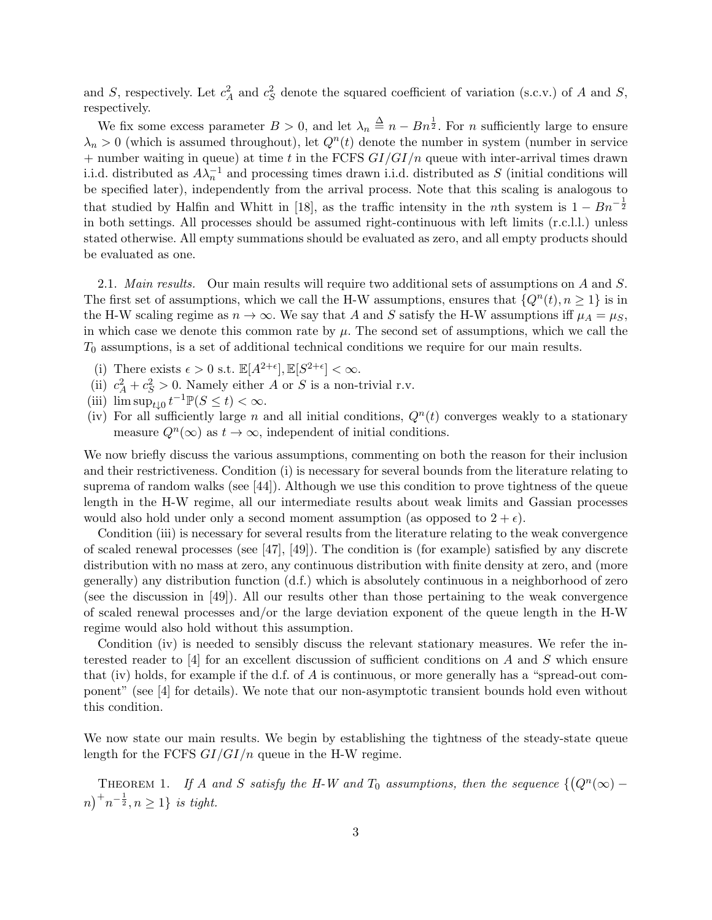and *S*, respectively. Let  $c_A^2$  and  $c_S^2$  denote the squared coefficient of variation (s.c.v.) of *A* and *S*, respectively.

We fix some excess parameter  $B > 0$ , and let  $\lambda_n \stackrel{\Delta}{=} n - Bn^{\frac{1}{2}}$ . For *n* sufficiently large to ensure  $\lambda_n > 0$  (which is assumed throughout), let  $Q^n(t)$  denote the number in system (number in service + number waiting in queue) at time *t* in the FCFS *GI/GI/n* queue with inter-arrival times drawn i.i.d. distributed as  $A\lambda_n^{-1}$  and processing times drawn i.i.d. distributed as *S* (initial conditions will be specified later), independently from the arrival process. Note that this scaling is analogous to that studied by Halfin and Whitt in [18], as the traffic intensity in the *n*th system is  $1 - Bn^{-\frac{1}{2}}$ in both settings. All processes should be assumed right-continuous with left limits (r.c.l.l.) unless stated otherwise. All empty summations should be evaluated as zero, and all empty products should be evaluated as one.

2.1. *Main results.* Our main results will require two additional sets of assumptions on *A* and *S*. The first set of assumptions, which we call the H-W assumptions, ensures that  $\{Q^n(t), n \geq 1\}$  is in the H-W scaling regime as  $n \to \infty$ . We say that *A* and *S* satisfy the H-W assumptions iff  $\mu_A = \mu_S$ , in which case we denote this common rate by  $\mu$ . The second set of assumptions, which we call the *T*<sup>0</sup> assumptions, is a set of additional technical conditions we require for our main results.

- (i) There exists  $\epsilon > 0$  s.t.  $\mathbb{E}[A^{2+\epsilon}], \mathbb{E}[S^{2+\epsilon}] < \infty$ .
- (ii)  $c_A^2 + c_S^2 > 0$ . Namely either *A* or *S* is a non-trivial r.v.
- (iii)  $\limsup_{t\downarrow 0} t^{-1} \mathbb{P}(S \le t) < \infty.$
- (iv) For all sufficiently large *n* and all initial conditions,  $Q<sup>n</sup>(t)$  converges weakly to a stationary measure  $Q^n(\infty)$  as  $t \to \infty$ , independent of initial conditions.

We now briefly discuss the various assumptions, commenting on both the reason for their inclusion and their restrictiveness. Condition (i) is necessary for several bounds from the literature relating to suprema of random walks (see [44]). Although we use this condition to prove tightness of the queue length in the H-W regime, all our intermediate results about weak limits and Gassian processes would also hold under only a second moment assumption (as opposed to  $2 + \epsilon$ ).

Condition (iii) is necessary for several results from the literature relating to the weak convergence of scaled renewal processes (see [47], [49]). The condition is (for example) satisfied by any discrete distribution with no mass at zero, any continuous distribution with finite density at zero, and (more generally) any distribution function (d.f.) which is absolutely continuous in a neighborhood of zero (see the discussion in [49]). All our results other than those pertaining to the weak convergence of scaled renewal processes and/or the large deviation exponent of the queue length in the H-W regime would also hold without this assumption.

Condition (iv) is needed to sensibly discuss the relevant stationary measures. We refer the interested reader to [4] for an excellent discussion of sufficient conditions on *A* and *S* which ensure that (iv) holds, for example if the d.f. of *A* is continuous, or more generally has a "spread-out component" (see [4] for details). We note that our non-asymptotic transient bounds hold even without this condition.

We now state our main results. We begin by establishing the tightness of the steady-state queue length for the FCFS *GI/GI/n* queue in the H-W regime.

THEOREM 1. *If A* and *S* satisfy the H-W and  $T_0$  assumptions, then the sequence  $\{ (Q^n(\infty) (n)^+ n^{-\frac{1}{2}}, n \geq 1$ *} is tight.*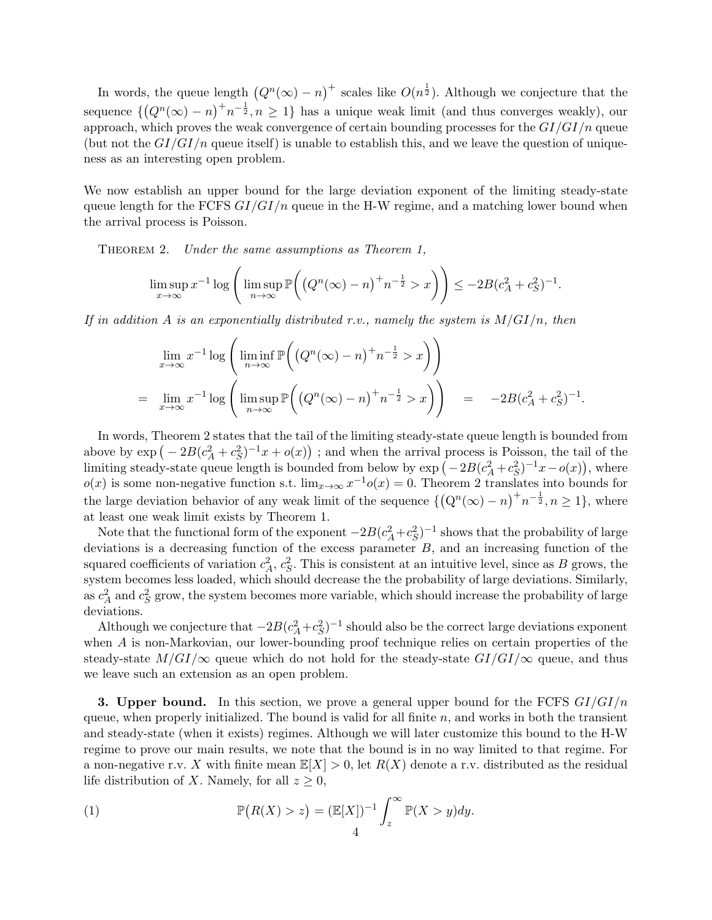In words, the queue length  $(Q^n(\infty) - n)^+$  scales like  $O(n^{\frac{1}{2}})$ . Although we conjecture that the sequence  $\{ (Q^n(\infty) - n)^+ n^{-\frac{1}{2}}, n \geq 1 \}$  has a unique weak limit (and thus converges weakly), our approach, which proves the weak convergence of certain bounding processes for the *GI/GI/n* queue (but not the  $GI/GI/n$  queue itself) is unable to establish this, and we leave the question of uniqueness as an interesting open problem.

We now establish an upper bound for the large deviation exponent of the limiting steady-state queue length for the FCFS *GI/GI/n* queue in the H-W regime, and a matching lower bound when the arrival process is Poisson.

Theorem 2. *Under the same assumptions as Theorem 1,*

$$
\limsup_{x \to \infty} x^{-1} \log \left( \limsup_{n \to \infty} \mathbb{P}\left( \left( Q^n(\infty) - n \right)^+ n^{-\frac{1}{2}} > x \right) \right) \le -2B(c_A^2 + c_S^2)^{-1}.
$$

*If in addition A is an exponentially distributed r.v., namely the system is M/GI/n, then*

$$
\lim_{x \to \infty} x^{-1} \log \left( \liminf_{n \to \infty} \mathbb{P} \left( \left( Q^n(\infty) - n \right)^+ n^{-\frac{1}{2}} > x \right) \right)
$$
\n
$$
= \lim_{x \to \infty} x^{-1} \log \left( \limsup_{n \to \infty} \mathbb{P} \left( \left( Q^n(\infty) - n \right)^+ n^{-\frac{1}{2}} > x \right) \right) = -2B(c_A^2 + c_S^2)^{-1}.
$$

In words, Theorem 2 states that the tail of the limiting steady-state queue length is bounded from above by  $\exp(-2B(c_A^2 + c_S^2)^{-1}x + o(x))$ ; and when the arrival process is Poisson, the tail of the limiting steady-state queue length is bounded from below by  $\exp(-2B(c_A^2+c_S^2)^{-1}x-o(x))$ , where  $o(x)$  is some non-negative function s.t.  $\lim_{x\to\infty} x^{-1}o(x) = 0$ . Theorem 2 translates into bounds for the large deviation behavior of any weak limit of the sequence  $\{(\mathbf{Q}^n(\infty)-n)^+n^{-\frac{1}{2}}, n\geq 1\}$ , where at least one weak limit exists by Theorem 1.

Note that the functional form of the exponent  $-2B(c_A^2+c_S^2)^{-1}$  shows that the probability of large deviations is a decreasing function of the excess parameter *B*, and an increasing function of the squared coefficients of variation  $c_A^2$ ,  $c_S^2$ . This is consistent at an intuitive level, since as *B* grows, the system becomes less loaded, which should decrease the the probability of large deviations. Similarly, as  $c_A^2$  and  $c_S^2$  grow, the system becomes more variable, which should increase the probability of large deviations.

Although we conjecture that  $-2B(c_A^2+c_S^2)^{-1}$  should also be the correct large deviations exponent when *A* is non-Markovian, our lower-bounding proof technique relies on certain properties of the steady-state  $M/GI/\infty$  queue which do not hold for the steady-state  $GI/GI/\infty$  queue, and thus we leave such an extension as an open problem.

**3. Upper bound.** In this section, we prove a general upper bound for the FCFS *GI/GI/n* queue, when properly initialized. The bound is valid for all finite *n*, and works in both the transient and steady-state (when it exists) regimes. Although we will later customize this bound to the H-W regime to prove our main results, we note that the bound is in no way limited to that regime. For a non-negative r.v. *X* with finite mean  $\mathbb{E}[X] > 0$ , let  $R(X)$  denote a r.v. distributed as the residual life distribution of *X*. Namely, for all  $z \geq 0$ ,

(1) 
$$
\mathbb{P}(R(X) > z) = (\mathbb{E}[X])^{-1} \int_z^{\infty} \mathbb{P}(X > y) dy.
$$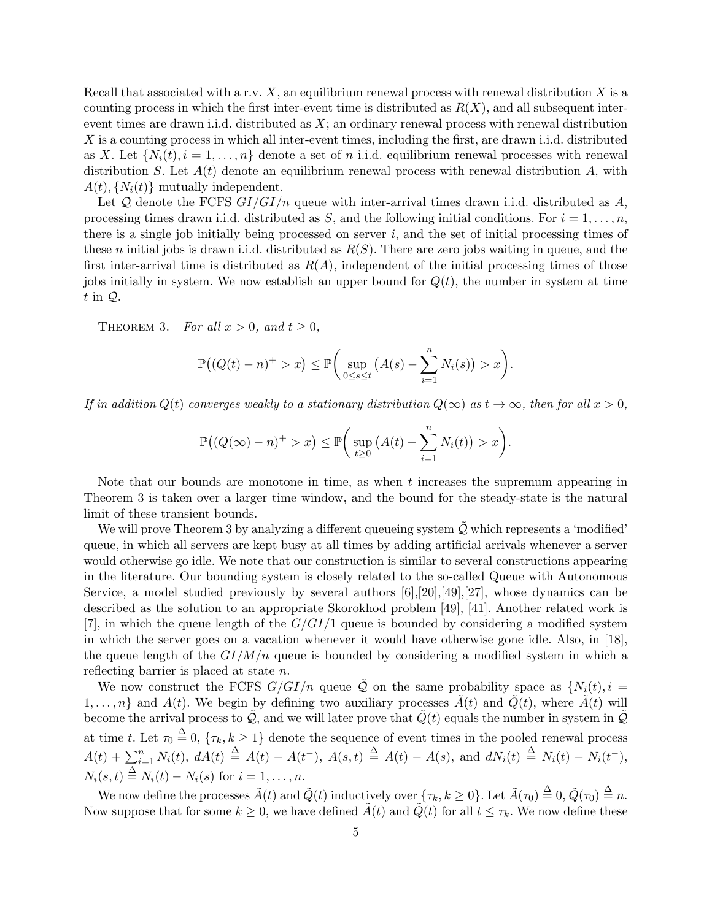Recall that associated with a r.v. *X*, an equilibrium renewal process with renewal distribution *X* is a counting process in which the first inter-event time is distributed as  $R(X)$ , and all subsequent interevent times are drawn i.i.d. distributed as *X*; an ordinary renewal process with renewal distribution *X* is a counting process in which all inter-event times, including the first, are drawn i.i.d. distributed as X. Let  $\{N_i(t), i = 1, \ldots, n\}$  denote a set of *n* i.i.d. equilibrium renewal processes with renewal distribution *S*. Let *A*(*t*) denote an equilibrium renewal process with renewal distribution *A*, with  $A(t)$ ,  $\{N_i(t)\}\$  mutually independent.

Let *Q* denote the FCFS *GI/GI/n* queue with inter-arrival times drawn i.i.d. distributed as *A*, processing times drawn i.i.d. distributed as  $S$ , and the following initial conditions. For  $i = 1, \ldots, n$ , there is a single job initially being processed on server *i*, and the set of initial processing times of these *n* initial jobs is drawn i.i.d. distributed as *R*(*S*). There are zero jobs waiting in queue, and the first inter-arrival time is distributed as  $R(A)$ , independent of the initial processing times of those jobs initially in system. We now establish an upper bound for  $Q(t)$ , the number in system at time *t* in *Q*.

THEOREM 3. *For all*  $x > 0$ *, and*  $t \ge 0$ *,* 

$$
\mathbb{P}\big((Q(t)-n)^+>x\big)\leq \mathbb{P}\bigg(\sup_{0\leq s\leq t}\big(A(s)-\sum_{i=1}^nN_i(s)\big)>x\bigg).
$$

*If in addition*  $Q(t)$  *converges weakly to a stationary distribution*  $Q(\infty)$  *as*  $t \to \infty$ *, then for all*  $x > 0$ *,* 

$$
\mathbb{P}\big((Q(\infty)-n)^{+}>x\big)\leq \mathbb{P}\bigg(\sup_{t\geq 0}\big(A(t)-\sum_{i=1}^{n}N_{i}(t)\big)>x\bigg).
$$

Note that our bounds are monotone in time, as when *t* increases the supremum appearing in Theorem 3 is taken over a larger time window, and the bound for the steady-state is the natural limit of these transient bounds.

We will prove Theorem 3 by analyzing a different queueing system  $\tilde{Q}$  which represents a 'modified' queue, in which all servers are kept busy at all times by adding artificial arrivals whenever a server would otherwise go idle. We note that our construction is similar to several constructions appearing in the literature. Our bounding system is closely related to the so-called Queue with Autonomous Service, a model studied previously by several authors [6],[20],[49],[27], whose dynamics can be described as the solution to an appropriate Skorokhod problem [49], [41]. Another related work is [7], in which the queue length of the *G/GI/*1 queue is bounded by considering a modified system in which the server goes on a vacation whenever it would have otherwise gone idle. Also, in [18], the queue length of the  $GI/M/n$  queue is bounded by considering a modified system in which a reflecting barrier is placed at state *n*.

We now construct the FCFS  $G/GI/n$  queue  $\tilde{Q}$  on the same probability space as  $\{N_i(t), i =$ 1,...,n} and  $A(t)$ . We begin by defining two auxiliary processes  $\tilde{A}(t)$  and  $\tilde{Q}(t)$ , where  $\tilde{A}(t)$  will become the arrival process to  $\mathcal{Q}$ , and we will later prove that  $Q(t)$  equals the number in system in  $\mathcal{Q}$ at time *t*. Let  $\tau_0 \stackrel{\Delta}{=} 0$ ,  $\{\tau_k, k \ge 1\}$  denote the sequence of event times in the pooled renewal process  $A(t) + \sum_{i=1}^{n} N_i(t)$ ,  $dA(t) \triangleq A(t) - A(t^{-})$ ,  $A(s,t) \triangleq A(t) - A(s)$ , and  $dN_i(t) \triangleq N_i(t) - N_i(t^{-})$ ,  $N_i(s,t) \stackrel{\Delta}{=} N_i(t) - N_i(s)$  for  $i = 1, ..., n$ .

We now define the processes  $\tilde{A}(t)$  and  $\tilde{Q}(t)$  inductively over  $\{\tau_k, k \geq 0\}$ . Let  $\tilde{A}(\tau_0) \stackrel{\Delta}{=} 0$ ,  $\tilde{Q}(\tau_0) \stackrel{\Delta}{=} n$ . Now suppose that for some  $k \geq 0$ , we have defined  $\tilde{A}(t)$  and  $\tilde{Q}(t)$  for all  $t \leq \tau_k$ . We now define these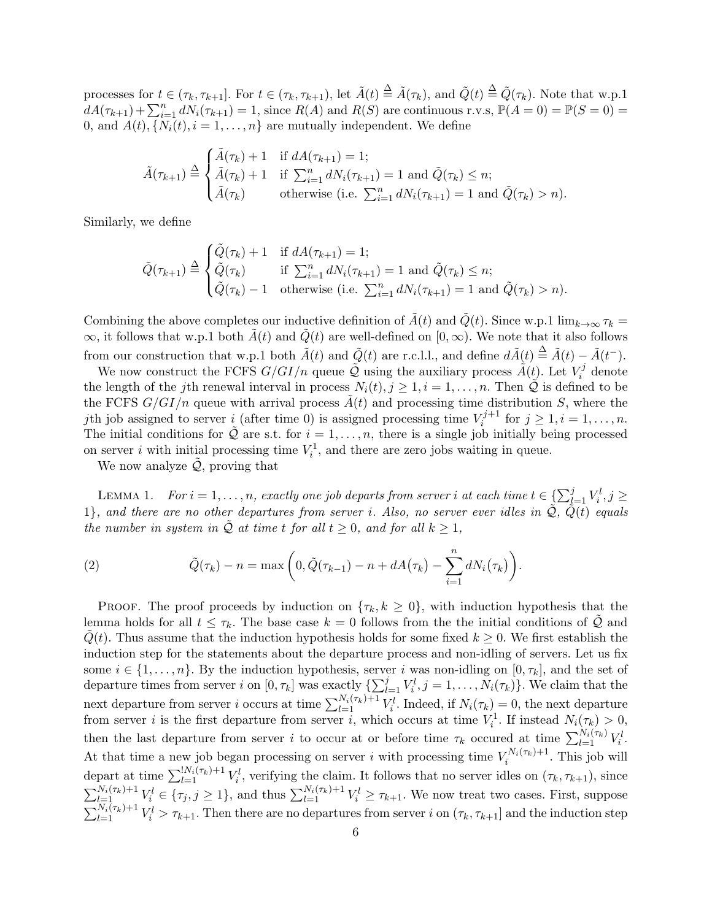processes for  $t \in (\tau_k, \tau_{k+1}]$ . For  $t \in (\tau_k, \tau_{k+1})$ , let  $\tilde{A}(t) \stackrel{\Delta}{=} \tilde{A}(\tau_k)$ , and  $\tilde{Q}(t) \stackrel{\Delta}{=} \tilde{Q}(\tau_k)$ . Note that w.p.1  $dA(\tau_{k+1}) + \sum_{i=1}^{n} dN_i(\tau_{k+1}) = 1$ , since  $R(A)$  and  $R(S)$  are continuous r.v.s,  $\mathbb{P}(A = 0) = \mathbb{P}(S = 0) =$ 0, and  $A(t)$ ,  $\{N_i(t), i = 1, \ldots, n\}$  are mutually independent. We define

$$
\tilde{A}(\tau_{k+1}) \stackrel{\Delta}{=} \begin{cases}\n\tilde{A}(\tau_k) + 1 & \text{if } dA(\tau_{k+1}) = 1; \\
\tilde{A}(\tau_k) + 1 & \text{if } \sum_{i=1}^n dN_i(\tau_{k+1}) = 1 \text{ and } \tilde{Q}(\tau_k) \le n; \\
\tilde{A}(\tau_k) & \text{otherwise (i.e. } \sum_{i=1}^n dN_i(\tau_{k+1}) = 1 \text{ and } \tilde{Q}(\tau_k) > n).\n\end{cases}
$$

Similarly, we define

$$
\tilde{Q}(\tau_{k+1}) \stackrel{\Delta}{=} \begin{cases} \tilde{Q}(\tau_k) + 1 & \text{if } dA(\tau_{k+1}) = 1; \\ \tilde{Q}(\tau_k) & \text{if } \sum_{i=1}^n dN_i(\tau_{k+1}) = 1 \text{ and } \tilde{Q}(\tau_k) \le n; \\ \tilde{Q}(\tau_k) - 1 & \text{otherwise (i.e. } \sum_{i=1}^n dN_i(\tau_{k+1}) = 1 \text{ and } \tilde{Q}(\tau_k) > n). \end{cases}
$$

Combining the above completes our inductive definition of  $\tilde{A}(t)$  and  $\tilde{Q}(t)$ . Since w.p.1 lim<sub> $k\rightarrow\infty$ </sub>  $\tau_k$  $\infty$ , it follows that w.p.1 both  $\tilde{A}(t)$  and  $\tilde{Q}(t)$  are well-defined on [0,  $\infty$ ). We note that it also follows from our construction that w.p.1 both  $\tilde{A}(t)$  and  $\tilde{Q}(t)$  are r.c.l.l., and define  $d\tilde{A}(t) \triangleq \tilde{A}(t) - \tilde{A}(t^{-})$ .

We now construct the FCFS  $G/GI/n$  queue  $\tilde{Q}$  using the auxiliary process  $\tilde{A}(t)$ . Let  $V_i^j$  $i^j$  denote the length of the *j*th renewal interval in process  $N_i(t), j \geq 1, i = 1, \ldots, n$ . Then *Q* is defined to be the FCFS  $G/GI/n$  queue with arrival process  $\tilde{A}(t)$  and processing time distribution *S*, where the *j*th job assigned to server *i* (after time 0) is assigned processing time  $V_i^{j+1}$  $i^{j+1}$  for  $j \ge 1, i = 1, \ldots, n$ . The initial conditions for  $\tilde{Q}$  are s.t. for  $i = 1, \ldots, n$ , there is a single job initially being processed on server *i* with initial processing time  $V_i^1$ , and there are zero jobs waiting in queue.

We now analyze  $\mathcal{Q}$ , proving that

LEMMA 1. *For*  $i = 1, ..., n$ , exactly one job departs from server *i* at each time  $t \in \{\sum_{l=1}^{j} V_i^l, j \geq 1\}$ 1*}, and there are no other departures from server <i>i. Also, no server ever idles in*  $\tilde{Q}$ *,*  $\tilde{Q}(t)$  *equals the number in system in*  $Q$  *at time t for all*  $t \geq 0$ *, and for all*  $k \geq 1$ *,* 

(2) 
$$
\tilde{Q}(\tau_k) - n = \max\left(0, \tilde{Q}(\tau_{k-1}) - n + dA(\tau_k) - \sum_{i=1}^n dN_i(\tau_k)\right).
$$

**PROOF.** The proof proceeds by induction on  $\{\tau_k, k \geq 0\}$ , with induction hypothesis that the lemma holds for all  $t \leq \tau_k$ . The base case  $k = 0$  follows from the the initial conditions of *Q* and *Q*(*t*). Thus assume that the induction hypothesis holds for some fixed  $k \geq 0$ . We first establish the induction step for the statements about the departure process and non-idling of servers. Let us fix some  $i \in \{1, \ldots, n\}$ . By the induction hypothesis, server *i* was non-idling on  $[0, \tau_k]$ , and the set of departure times from server *i* on  $[0, \tau_k]$  was exactly  $\{\sum_{l=1}^j V_i^l, j = 1, \ldots, N_i(\tau_k)\}$ . We claim that the next departure from server *i* occurs at time  $\sum_{l=1}^{N_i(\tau_k)+1} V_i^l$ . Indeed, if  $N_i(\tau_k) = 0$ , the next departure from server *i* is the first departure from server *i*, which occurs at time  $V_i^1$ . If instead  $N_i(\tau_k) > 0$ , then the last departure from server *i* to occur at or before time  $\tau_k$  occured at time  $\sum_{l=1}^{N_i(\tau_k)} V_i^l$ . At that time a new job began processing on server *i* with processing time  $V_i^{N_i(\tau_k)+1}$  $i^{N_i(\tau_k)+1}$ . This job will depart at time  $\sum_{l=1}^{N_i(\tau_k)+1} V_i^l$ , verifying the claim. It follows that no server idles on  $(\tau_k, \tau_{k+1})$ , since  $\sum_{l=1}^{N_i(\tau_k)+1} V_i^l \in {\{\tau_j, j \geq 1\}}$ , and thus  $\sum_{l=1}^{N_i(\tau_k)+1} V_i^l \geq \tau_{k+1}$ . We now treat two cases. First, suppose  $\sum_{l=1}^{N_i(\tau_k)+1} V_i^l > \tau_{k+1}$ . Then there are no departures from server *i* on  $(\tau_k, \tau_{k+1}]$  and the induction step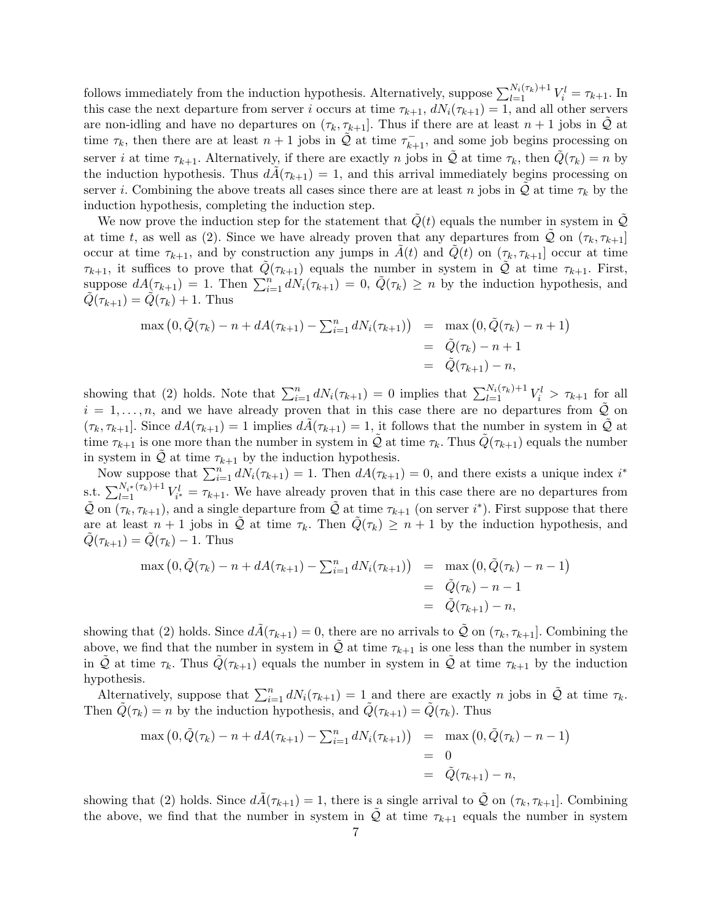follows immediately from the induction hypothesis. Alternatively, suppose  $\sum_{l=1}^{N_i(\tau_k)+1} V_i^l = \tau_{k+1}$ . In this case the next departure from server *i* occurs at time  $\tau_{k+1}$ ,  $dN_i(\tau_{k+1}) = 1$ , and all other servers are non-idling and have no departures on  $(\tau_k, \tau_{k+1}]$ . Thus if there are at least  $n+1$  jobs in  $\mathcal Q$  at time  $\tau_k$ , then there are at least  $n+1$  jobs in  $\tilde{Q}$  at time  $\tau_{k+1}^-$ , and some job begins processing on server *i* at time  $\tau_{k+1}$ . Alternatively, if there are exactly *n* jobs in  $\mathcal Q$  at time  $\tau_k$ , then  $\mathcal Q(\tau_k) = n$  by the induction hypothesis. Thus  $dA(\tau_{k+1}) = 1$ , and this arrival immediately begins processing on server *i*. Combining the above treats all cases since there are at least *n* jobs in  $\mathcal Q$  at time  $\tau_k$  by the induction hypothesis, completing the induction step.

We now prove the induction step for the statement that  $Q(t)$  equals the number in system in  $Q$ at time *t*, as well as (2). Since we have already proven that any departures from  $Q$  on  $(\tau_k, \tau_{k+1}]$ occur at time  $\tau_{k+1}$ , and by construction any jumps in  $A(t)$  and  $Q(t)$  on  $(\tau_k, \tau_{k+1}]$  occur at time *τ*<sub>*k*+1</sub>, it suffices to prove that  $\tilde{Q}(\tau_{k+1})$  equals the number in system in  $\tilde{Q}$  at time  $\tau_{k+1}$ . First, suppose  $dA(\tau_{k+1}) = 1$ . Then  $\sum_{i=1}^{n} dN_i(\tau_{k+1}) = 0$ ,  $\tilde{Q}(\tau_k) \geq n$  by the induction hypothesis, and  $Q(\tau_{k+1}) = Q(\tau_k) + 1$ . Thus

$$
\max (0, \tilde{Q}(\tau_k) - n + dA(\tau_{k+1}) - \sum_{i=1}^n dN_i(\tau_{k+1}) ) = \max (0, \tilde{Q}(\tau_k) - n + 1)
$$
  
=  $\tilde{Q}(\tau_k) - n + 1$   
=  $\tilde{Q}(\tau_{k+1}) - n$ ,

showing that (2) holds. Note that  $\sum_{i=1}^{n} dN_i(\tau_{k+1}) = 0$  implies that  $\sum_{l=1}^{N_i(\tau_k)+1} V_i^l > \tau_{k+1}$  for all  $i = 1, \ldots, n$ , and we have already proven that in this case there are no departures from  $Q$  on  $(\tau_k, \tau_{k+1}]$ . Since  $dA(\tau_{k+1}) = 1$  implies  $dA(\tau_{k+1}) = 1$ , it follows that the number in system in *Q* at time  $\tau_{k+1}$  is one more than the number in system in  $\mathcal Q$  at time  $\tau_k$ . Thus  $Q(\tau_{k+1})$  equals the number in system in  $Q$  at time  $\tau_{k+1}$  by the induction hypothesis.

Now suppose that  $\sum_{i=1}^{n} dN_i(\tau_{k+1}) = 1$ . Then  $dA(\tau_{k+1}) = 0$ , and there exists a unique index *i*<sup>\*</sup> s.t.  $\sum_{l=1}^{N_{i^*}(r_k)+1} V_{i^*}^l = \tau_{k+1}$ . We have already proven that in this case there are no departures from  $\tilde{Q}$  on  $(\tau_k, \tau_{k+1})$ , and a single departure from  $\tilde{Q}$  at time  $\tau_{k+1}$  (on server *i*<sup>\*</sup>). First suppose that there are at least  $n + 1$  jobs in  $\overline{Q}$  at time  $\tau_k$ . Then  $Q(\tau_k) \geq n + 1$  by the induction hypothesis, and  $Q(\tau_{k+1}) = Q(\tau_k) - 1$ . Thus

$$
\max (0, \tilde{Q}(\tau_k) - n + dA(\tau_{k+1}) - \sum_{i=1}^n dN_i(\tau_{k+1}) ) = \max (0, \tilde{Q}(\tau_k) - n - 1)
$$
  
=  $\tilde{Q}(\tau_k) - n - 1$   
=  $\tilde{Q}(\tau_{k+1}) - n$ ,

showing that (2) holds. Since  $d\tilde{A}(\tau_{k+1}) = 0$ , there are no arrivals to  $\tilde{Q}$  on  $(\tau_k, \tau_{k+1}]$ . Combining the above, we find that the number in system in  $\mathcal{Q}$  at time  $\tau_{k+1}$  is one less than the number in system in *Q* at time  $\tau_k$ . Thus  $Q(\tau_{k+1})$  equals the number in system in *Q* at time  $\tau_{k+1}$  by the induction hypothesis.

Alternatively, suppose that  $\sum_{i=1}^{n} dN_i(\tau_{k+1}) = 1$  and there are exactly *n* jobs in  $\tilde{Q}$  at time  $\tau_k$ . Then  $\tilde{Q}(\tau_k) = n$  by the induction hypothesis, and  $\tilde{Q}(\tau_{k+1}) = \tilde{Q}(\tau_k)$ . Thus

$$
\max (0, \tilde{Q}(\tau_k) - n + dA(\tau_{k+1}) - \sum_{i=1}^n dN_i(\tau_{k+1}) ) = \max (0, \tilde{Q}(\tau_k) - n - 1)
$$
  
= 0  
= \tilde{Q}(\tau\_{k+1}) - n,

showing that (2) holds. Since  $dA(\tau_{k+1}) = 1$ , there is a single arrival to  $\mathcal Q$  on  $(\tau_k, \tau_{k+1}]$ . Combining the above, we find that the number in system in  $\mathcal Q$  at time  $\tau_{k+1}$  equals the number in system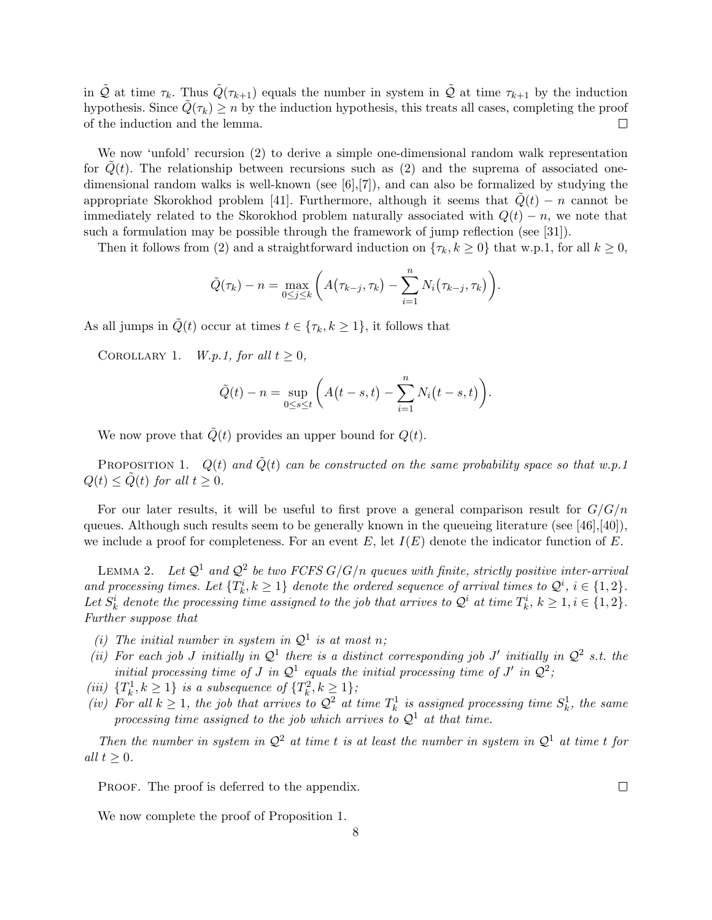in  $\tilde{Q}$  at time  $\tau_k$ . Thus  $\tilde{Q}(\tau_{k+1})$  equals the number in system in  $\tilde{Q}$  at time  $\tau_{k+1}$  by the induction hypothesis. Since  $\tilde{Q}(\tau_k) \geq n$  by the induction hypothesis, this treats all cases, completing the proof of the induction and the lemma.  $\Box$ 

We now 'unfold' recursion (2) to derive a simple one-dimensional random walk representation for  $Q(t)$ . The relationship between recursions such as  $(2)$  and the suprema of associated onedimensional random walks is well-known (see [6],[7]), and can also be formalized by studying the appropriate Skorokhod problem [41]. Furthermore, although it seems that  $Q(t) - n$  cannot be immediately related to the Skorokhod problem naturally associated with  $Q(t) - n$ , we note that such a formulation may be possible through the framework of jump reflection (see [31]).

Then it follows from (2) and a straightforward induction on  $\{\tau_k, k \geq 0\}$  that w.p.1, for all  $k \geq 0$ ,

$$
\tilde{Q}(\tau_k) - n = \max_{0 \leq j \leq k} \left( A(\tau_{k-j}, \tau_k) - \sum_{i=1}^n N_i(\tau_{k-j}, \tau_k) \right).
$$

As all jumps in  $\tilde{Q}(t)$  occur at times  $t \in {\tau_k, k \geq 1}$ , it follows that

COROLLARY 1. *W.p.1, for all*  $t > 0$ ,

$$
\tilde{Q}(t) - n = \sup_{0 \le s \le t} \left( A(t - s, t) - \sum_{i=1}^{n} N_i(t - s, t) \right).
$$

We now prove that  $\tilde{Q}(t)$  provides an upper bound for  $Q(t)$ .

PROPOSITION 1.  $Q(t)$  and  $\tilde{Q}(t)$  can be constructed on the same probability space so that w.p.1  $Q(t) \leq \tilde{Q}(t)$  *for all*  $t \geq 0$ *.* 

For our later results, it will be useful to first prove a general comparison result for *G/G/n* queues. Although such results seem to be generally known in the queueing literature (see [46],[40]), we include a proof for completeness. For an event *E*, let *I*(*E*) denote the indicator function of *E*.

LEMMA 2. Let  $\mathcal{Q}^1$  and  $\mathcal{Q}^2$  be two FCFS  $G/G/n$  queues with finite, strictly positive inter-arrival and processing times. Let  $\{T_k^i, k \geq 1\}$  denote the ordered sequence of arrival times to  $\mathcal{Q}^i$ ,  $i \in \{1,2\}$ . Let  $S_k^i$  denote the processing time assigned to the job that arrives to  $\mathcal{Q}^i$  at time  $T_k^i$ ,  $k \geq 1, i \in \{1,2\}$ . *Further suppose that*

- *(i)* The initial number in system in  $Q^1$  is at most n;
- (*ii*) For each job *J* initially in  $\mathcal{Q}^1$  there is a distinct corresponding job *J'* initially in  $\mathcal{Q}^2$  s.t. the *initial processing time of J in*  $\mathcal{Q}^1$  *equals the initial processing time of J' in*  $\mathcal{Q}^2$ ;
- *(iii)*  $\{T_k^1, k \geq 1\}$  *is a subsequence of*  $\{T_k^2, k \geq 1\}$ ;
- *(iv)* For all  $k \geq 1$ , the job that arrives to  $Q^2$  at time  $T_k^1$  is assigned processing time  $S_k^1$ , the same *processing time assigned to the job which arrives to*  $Q<sup>1</sup>$  *at that time.*

*Then the number in system in*  $Q^2$  *at time t is at least the number in system in*  $Q^1$  *at time t for all*  $t \geq 0$ *.* 

PROOF. The proof is deferred to the appendix.

We now complete the proof of Proposition 1.

 $\Box$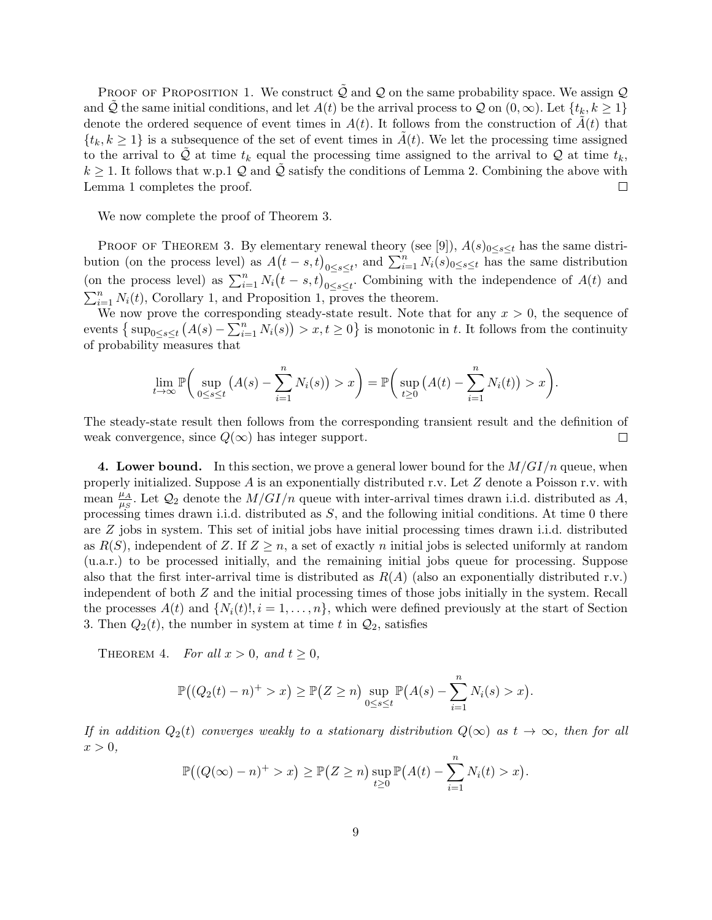PROOF OF PROPOSITION 1. We construct  $\mathcal Q$  and  $\mathcal Q$  on the same probability space. We assign  $\mathcal Q$ and *Q* the same initial conditions, and let  $A(t)$  be the arrival process to *Q* on  $(0, \infty)$ . Let  $\{t_k, k \geq 1\}$ denote the ordered sequence of event times in  $A(t)$ . It follows from the construction of  $A(t)$  that  ${t_k, k \geq 1}$  is a subsequence of the set of event times in *A*(*t*). We let the processing time assigned to the arrival to  $Q$  at time  $t_k$  equal the processing time assigned to the arrival to  $Q$  at time  $t_k$ ,  $k \geq 1$ . It follows that w.p.1 *Q* and *Q* satisfy the conditions of Lemma 2. Combining the above with Lemma 1 completes the proof.  $\Box$ 

We now complete the proof of Theorem 3.

PROOF OF THEOREM 3. By elementary renewal theory (see [9]),  $A(s)_{0\leq s\leq t}$  has the same distribution (on the process level) as  $A(t-s,t)_{0\leq s\leq t}$ , and  $\sum_{i=1}^{n} N_i(s)_{0\leq s\leq t}$  has the same distribution (on the process level) as  $\sum_{i=1}^{n} N_i(t-s,t)_{0\leq s\leq t}$ . Combining with the independence of *A*(*t*) and  $\sum_{i=1}^{n} N_i(t)$ , Corollary 1, and Proposition 1, proves the theorem.

We now prove the corresponding steady-state result. Note that for any  $x > 0$ , the sequence of events  $\{\sup_{0\leq s\leq t} (A(s)-\sum_{i=1}^n N_i(s)) > x, t \geq 0\}$  is monotonic in *t*. It follows from the continuity of probability measures that

$$
\lim_{t \to \infty} \mathbb{P}\bigg(\sup_{0 \le s \le t} \big(A(s) - \sum_{i=1}^n N_i(s)\big) > x\bigg) = \mathbb{P}\bigg(\sup_{t \ge 0} \big(A(t) - \sum_{i=1}^n N_i(t)\big) > x\bigg).
$$

The steady-state result then follows from the corresponding transient result and the definition of weak convergence, since  $Q(\infty)$  has integer support.  $\Box$ 

**4. Lower bound.** In this section, we prove a general lower bound for the *M/GI/n* queue, when properly initialized. Suppose *A* is an exponentially distributed r.v. Let *Z* denote a Poisson r.v. with mean  $\frac{\mu_A}{\mu_B}$  $\frac{\mu_A}{\mu_S}$ . Let  $\mathcal{Q}_2$  denote the  $M/GI/n$  queue with inter-arrival times drawn i.i.d. distributed as *A*, processing times drawn i.i.d. distributed as *S*, and the following initial conditions. At time 0 there are *Z* jobs in system. This set of initial jobs have initial processing times drawn i.i.d. distributed as  $R(S)$ , independent of *Z*. If  $Z \geq n$ , a set of exactly *n* initial jobs is selected uniformly at random (u.a.r.) to be processed initially, and the remaining initial jobs queue for processing. Suppose also that the first inter-arrival time is distributed as *R*(*A*) (also an exponentially distributed r.v.) independent of both *Z* and the initial processing times of those jobs initially in the system. Recall the processes  $A(t)$  and  $\{N_i(t)!, i = 1, \ldots, n\}$ , which were defined previously at the start of Section 3. Then  $Q_2(t)$ , the number in system at time t in  $Q_2$ , satisfies

THEOREM 4. *For all*  $x > 0$ *, and*  $t \geq 0$ *,* 

$$
\mathbb{P}((Q_2(t) - n)^+ > x) \ge \mathbb{P}(Z \ge n) \sup_{0 \le s \le t} \mathbb{P}(A(s) - \sum_{i=1}^n N_i(s) > x)
$$

*.*

*If in addition*  $Q_2(t)$  *converges weakly to a stationary distribution*  $Q(\infty)$  *as*  $t \to \infty$ *, then for all*  $x > 0$ ,

$$
\mathbb{P}\big((Q(\infty)-n)^{+}>x\big)\geq \mathbb{P}\big(Z\geq n\big)\sup_{t\geq 0}\mathbb{P}\big(A(t)-\sum_{i=1}^{n}N_{i}(t)>x\big).
$$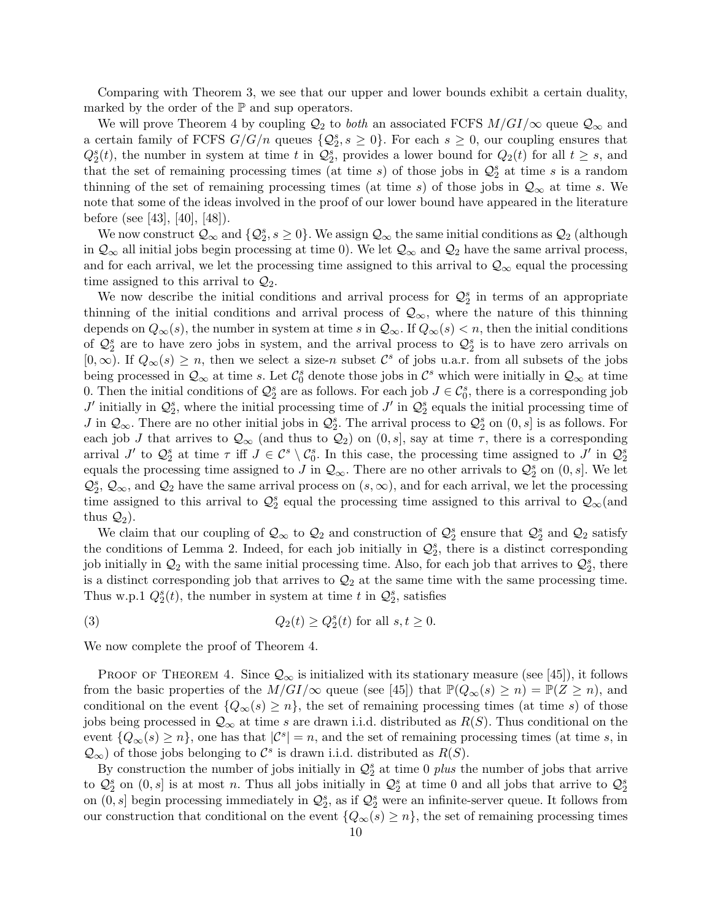Comparing with Theorem 3, we see that our upper and lower bounds exhibit a certain duality, marked by the order of the  $\mathbb P$  and sup operators.

We will prove Theorem 4 by coupling  $\mathcal{Q}_2$  to *both* an associated FCFS  $M/GI/\infty$  queue  $\mathcal{Q}_\infty$  and a certain family of FCFS  $G/G/n$  queues  $\{Q_2^s, s \geq 0\}$ . For each  $s \geq 0$ , our coupling ensures that  $Q_2^s(t)$ , the number in system at time *t* in  $Q_2^s$ , provides a lower bound for  $Q_2(t)$  for all  $t \geq s$ , and that the set of remaining processing times (at time *s*) of those jobs in  $\mathcal{Q}_2^s$  at time *s* is a random thinning of the set of remaining processing times (at time *s*) of those jobs in  $\mathcal{Q}_{\infty}$  at time *s*. We note that some of the ideas involved in the proof of our lower bound have appeared in the literature before (see [43], [40], [48]).

We now construct  $Q_\infty$  and  $\{Q_2^s, s \ge 0\}$ . We assign  $Q_\infty$  the same initial conditions as  $Q_2$  (although in  $\mathcal{Q}_{\infty}$  all initial jobs begin processing at time 0). We let  $\mathcal{Q}_{\infty}$  and  $\mathcal{Q}_{2}$  have the same arrival process, and for each arrival, we let the processing time assigned to this arrival to  $\mathcal{Q}_{\infty}$  equal the processing time assigned to this arrival to *Q*2.

We now describe the initial conditions and arrival process for  $\mathcal{Q}_2^s$  in terms of an appropriate thinning of the initial conditions and arrival process of  $\mathcal{Q}_{\infty}$ , where the nature of this thinning depends on  $Q_{\infty}(s)$ , the number in system at time *s* in  $Q_{\infty}$ . If  $Q_{\infty}(s) < n$ , then the initial conditions of  $\mathcal{Q}_2^s$  are to have zero jobs in system, and the arrival process to  $\mathcal{Q}_2^s$  is to have zero arrivals on  $[0, ∞)$ . If  $Q_{\infty}(s) \geq n$ , then we select a size-*n* subset  $\mathcal{C}^s$  of jobs u.a.r. from all subsets of the jobs being processed in  $\mathcal{Q}_{\infty}$  at time *s*. Let  $\mathcal{C}_0^s$  denote those jobs in  $\mathcal{C}^s$  which were initially in  $\mathcal{Q}_{\infty}$  at time 0. Then the initial conditions of  $\mathcal{Q}_2^s$  are as follows. For each job  $J \in \mathcal{C}_0^s$ , there is a corresponding job *J*<sup> $\prime$ </sup> initially in  $\mathcal{Q}_2^s$ , where the initial processing time of *J*<sup> $\prime$ </sup> in  $\mathcal{Q}_2^s$  equals the initial processing time of *J* in  $\mathcal{Q}_{\infty}$ . There are no other initial jobs in  $\mathcal{Q}_{2}^{s}$ . The arrival process to  $\mathcal{Q}_{2}^{s}$  on  $(0, s]$  is as follows. For each job *J* that arrives to  $\mathcal{Q}_{\infty}$  (and thus to  $\mathcal{Q}_2$ ) on  $(0, s]$ , say at time  $\tau$ , there is a corresponding arrival *J'* to  $\mathcal{Q}_2^s$  at time  $\tau$  iff  $J \in \mathcal{C}^s \setminus \mathcal{C}_0^s$ . In this case, the processing time assigned to *J'* in  $\mathcal{Q}_2^s$ equals the processing time assigned to *J* in  $\mathcal{Q}_{\infty}$ . There are no other arrivals to  $\mathcal{Q}_2^s$  on  $(0, s]$ . We let  $Q_2^s$ ,  $\mathcal{Q}_{\infty}$ , and  $\mathcal{Q}_2$  have the same arrival process on  $(s, \infty)$ , and for each arrival, we let the processing time assigned to this arrival to  $\mathcal{Q}_2^s$  equal the processing time assigned to this arrival to  $\mathcal{Q}_\infty$  (and thus  $\mathcal{Q}_2$ ).

We claim that our coupling of  $\mathcal{Q}_{\infty}$  to  $\mathcal{Q}_2$  and construction of  $\mathcal{Q}_2^s$  ensure that  $\mathcal{Q}_2^s$  and  $\mathcal{Q}_2$  satisfy the conditions of Lemma 2. Indeed, for each job initially in  $\mathcal{Q}_2^s$ , there is a distinct corresponding job initially in  $\mathcal{Q}_2$  with the same initial processing time. Also, for each job that arrives to  $\mathcal{Q}_2^s$ , there is a distinct corresponding job that arrives to  $\mathcal{Q}_2$  at the same time with the same processing time. Thus w.p.1  $Q_2^s(t)$ , the number in system at time *t* in  $Q_2^s$ , satisfies

(3)  $Q_2(t) \ge Q_2^s(t)$  for all  $s, t \ge 0$ .

We now complete the proof of Theorem 4.

PROOF OF THEOREM 4. Since  $\mathcal{Q}_{\infty}$  is initialized with its stationary measure (see [45]), it follows from the basic properties of the  $M/GI/\infty$  queue (see [45]) that  $\mathbb{P}(Q_{\infty}(s) \geq n) = \mathbb{P}(Z \geq n)$ , and conditional on the event  ${Q_{\infty}(s) \geq n}$ , the set of remaining processing times (at time *s*) of those jobs being processed in *Q<sup>∞</sup>* at time *s* are drawn i.i.d. distributed as *R*(*S*). Thus conditional on the event  ${Q_{\infty}(s) \geq n}$ , one has that  $|C^s| = n$ , and the set of remaining processing times (at time *s*, in  $Q$ <sup>*∞*</sup>) of those jobs belonging to  $C^s$  is drawn i.i.d. distributed as *R*(*S*).

By construction the number of jobs initially in  $\mathcal{Q}_2^s$  at time 0 *plus* the number of jobs that arrive to  $\mathcal{Q}_2^s$  on  $(0, s]$  is at most *n*. Thus all jobs initially in  $\mathcal{Q}_2^s$  at time 0 and all jobs that arrive to  $\mathcal{Q}_2^s$ on  $(0, s]$  begin processing immediately in  $\mathcal{Q}_2^s$ , as if  $\mathcal{Q}_2^s$  were an infinite-server queue. It follows from our construction that conditional on the event  $\{Q_\infty(s) \geq n\}$ , the set of remaining processing times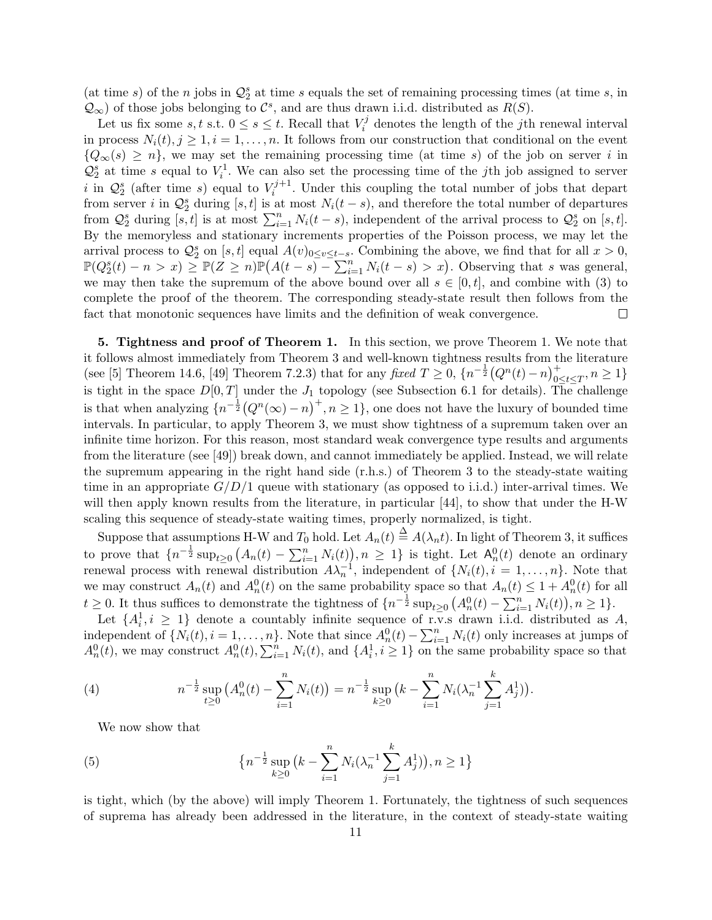(at time  $s$ ) of the  $n$  jobs in  $\mathcal{Q}_2^s$  at time  $s$  equals the set of remaining processing times (at time  $s$ , in  $Q_{\infty}$ ) of those jobs belonging to  $\mathcal{C}^s$ , and are thus drawn i.i.d. distributed as *R*(*S*).

Let us fix some *s*, *t* s.t.  $0 \le s \le t$ . Recall that  $V_i^j$  $\hat{i}$ <sup> $\eta$ </sup> denotes the length of the *j*th renewal interval in process  $N_i(t)$ ,  $j \geq 1$ ,  $i = 1, \ldots, n$ . It follows from our construction that conditional on the event  ${Q_{\infty}(s) \geq n}$ , we may set the remaining processing time (at time *s*) of the job on server *i* in  $\mathcal{Q}_2^s$  at time *s* equal to  $V_i^1$ . We can also set the processing time of the *j*th job assigned to server *i* in  $\mathcal{Q}_2^s$  (after time *s*) equal to  $V_i^{j+1}$  $\int_{i}^{\infty}$ . Under this coupling the total number of jobs that depart from server *i* in  $\mathcal{Q}_2^s$  during [*s, t*] is at most  $N_i(t-s)$ , and therefore the total number of departures from  $\mathcal{Q}_2^s$  during  $[s, t]$  is at most  $\sum_{i=1}^n N_i(t - s)$ , independent of the arrival process to  $\mathcal{Q}_2^s$  on  $[s, t]$ . By the memoryless and stationary increments properties of the Poisson process, we may let the arrival process to  $\mathcal{Q}_2^s$  on [*s, t*] equal  $A(v)_{0 \le v \le t-s}$ . Combining the above, we find that for all  $x > 0$ ,  $\mathbb{P}(Q_2^s(t) - n > x) \geq \mathbb{P}(Z \geq n)\mathbb{P}(A(t-s) - \sum_{i=1}^n N_i(t-s) > x)$ . Observing that s was general, we may then take the supremum of the above bound over all  $s \in [0, t]$ , and combine with (3) to complete the proof of the theorem. The corresponding steady-state result then follows from the fact that monotonic sequences have limits and the definition of weak convergence.  $\Box$ 

**5. Tightness and proof of Theorem 1.** In this section, we prove Theorem 1. We note that it follows almost immediately from Theorem 3 and well-known tightness results from the literature (see [5] Theorem 14.6, [49] Theorem 7.2.3) that for any *fixed*  $T \geq 0$ ,  $\{n^{-\frac{1}{2}}(Q^n(t)-n)\}_{n=0}^{+}$  $\sum_{0 \le t \le T}^+$ , *n* ≥ 1<sup>}</sup> is tight in the space  $D[0,T]$  under the  $J_1$  topology (see Subsection 6.1 for details). The challenge is that when analyzing  $\{n^{-\frac{1}{2}}(Q^n(\infty)-n)^+, n\geq 1\}$ , one does not have the luxury of bounded time intervals. In particular, to apply Theorem 3, we must show tightness of a supremum taken over an infinite time horizon. For this reason, most standard weak convergence type results and arguments from the literature (see [49]) break down, and cannot immediately be applied. Instead, we will relate the supremum appearing in the right hand side (r.h.s.) of Theorem 3 to the steady-state waiting time in an appropriate  $G/D/1$  queue with stationary (as opposed to i.i.d.) inter-arrival times. We will then apply known results from the literature, in particular [44], to show that under the H-W scaling this sequence of steady-state waiting times, properly normalized, is tight.

Suppose that assumptions H-W and  $T_0$  hold. Let  $A_n(t) \stackrel{\Delta}{=} A(\lambda_n t)$ . In light of Theorem 3, it suffices to prove that  $\{n^{-\frac{1}{2}}\sup_{t\geq 0} (A_n(t)-\sum_{i=1}^n N_i(t)), n\geq 1\}$  is tight. Let  $A_n^0(t)$  denote an ordinary renewal process with renewal distribution  $A\lambda_n^{-1}$ , independent of  $\{N_i(t), i = 1, \ldots, n\}$ . Note that we may construct  $A_n(t)$  and  $A_n^0(t)$  on the same probability space so that  $A_n(t) \leq 1 + A_n^0(t)$  for all  $t \geq 0$ . It thus suffices to demonstrate the tightness of  $\{n^{-\frac{1}{2}}\sup_{t\geq 0} (A_n^0(t) - \sum_{i=1}^n N_i(t)), n \geq 1\}$ .

Let  $\{A_i^1, i \geq 1\}$  denote a countably infinite sequence of r.v.s drawn i.i.d. distributed as *A*, independent of  $\{N_i(t), i = 1, \ldots, n\}$ . Note that since  $A_n^0(t) - \sum_{i=1}^n N_i(t)$  only increases at jumps of  $A_n^0(t)$ , we may construct  $A_n^0(t)$ ,  $\sum_{i=1}^n N_i(t)$ , and  $\{A_i^1, i \geq 1\}$  on the same probability space so that

(4) 
$$
n^{-\frac{1}{2}}\sup_{t\geq 0} (A_n^0(t) - \sum_{i=1}^n N_i(t)) = n^{-\frac{1}{2}}\sup_{k\geq 0} (k - \sum_{i=1}^n N_i(\lambda_n^{-1}\sum_{j=1}^k A_j^1)).
$$

We now show that

(5) 
$$
\left\{ n^{-\frac{1}{2}} \sup_{k \ge 0} \left( k - \sum_{i=1}^n N_i (\lambda_n^{-1} \sum_{j=1}^k A_j^1) \right), n \ge 1 \right\}
$$

is tight, which (by the above) will imply Theorem 1. Fortunately, the tightness of such sequences of suprema has already been addressed in the literature, in the context of steady-state waiting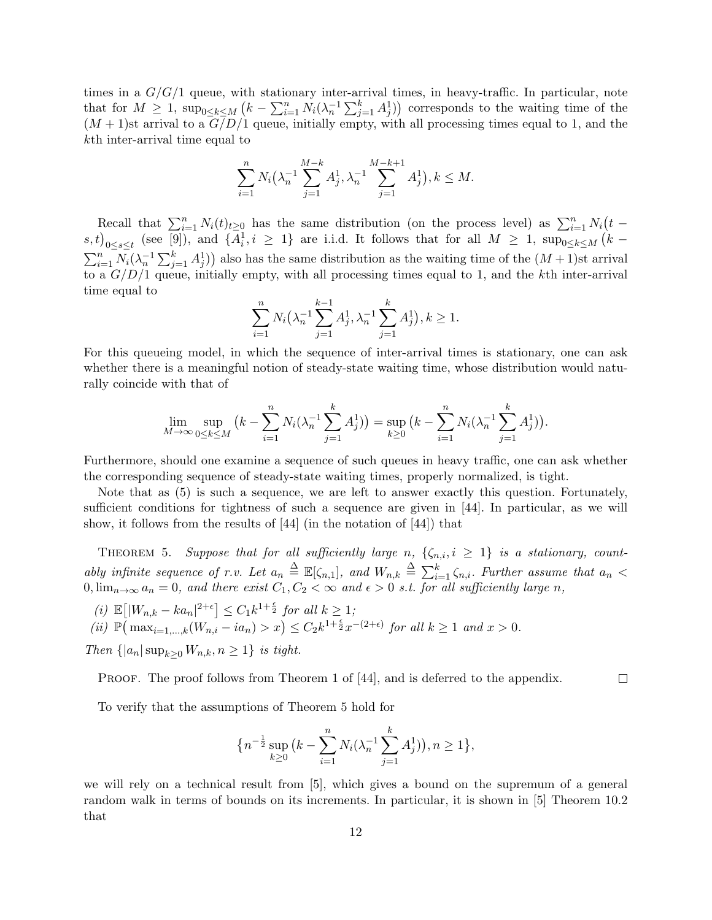times in a *G/G/*1 queue, with stationary inter-arrival times, in heavy-traffic. In particular, note that for  $M \geq 1$ ,  $\sup_{0 \leq k \leq M} (k - \sum_{i=1}^n N_i (\lambda_n^{-1} \sum_{j=1}^k A_j^1))$  corresponds to the waiting time of the  $(M+1)$ st arrival to a  $G/D/1$  queue, initially empty, with all processing times equal to 1, and the *k*th inter-arrival time equal to

$$
\sum_{i=1}^{n} N_i \left(\lambda_n^{-1} \sum_{j=1}^{M-k} A_j^1, \lambda_n^{-1} \sum_{j=1}^{M-k+1} A_j^1\right), k \leq M.
$$

Recall that  $\sum_{i=1}^{n} N_i(t)_{t \geq 0}$  has the same distribution (on the process level) as  $\sum_{i=1}^{n} N_i(t (s,t)_{0\leq s\leq t}$  (see [9]), and  $\{\overline{A}_i^1, i \geq 1\}$  are i.i.d. It follows that for all  $M \geq 1$ ,  $\sup_{0\leq k\leq M}$   $(k-1)$  $\sum_{i=1}^{n} N_i(\lambda_n^{-1} \sum_{j=1}^{k} A_j^1)$  also has the same distribution as the waiting time of the  $(M+1)$ st arrival to a *G/D/*1 queue, initially empty, with all processing times equal to 1, and the *k*th inter-arrival time equal to

$$
\sum_{i=1}^{n} N_i \left(\lambda_n^{-1} \sum_{j=1}^{k-1} A_j^1, \lambda_n^{-1} \sum_{j=1}^{k} A_j^1\right), k \ge 1.
$$

For this queueing model, in which the sequence of inter-arrival times is stationary, one can ask whether there is a meaningful notion of steady-state waiting time, whose distribution would naturally coincide with that of

$$
\lim_{M \to \infty} \sup_{0 \le k \le M} \left( k - \sum_{i=1}^n N_i (\lambda_n^{-1} \sum_{j=1}^k A_j^1) \right) = \sup_{k \ge 0} \left( k - \sum_{i=1}^n N_i (\lambda_n^{-1} \sum_{j=1}^k A_j^1) \right).
$$

Furthermore, should one examine a sequence of such queues in heavy traffic, one can ask whether the corresponding sequence of steady-state waiting times, properly normalized, is tight.

Note that as (5) is such a sequence, we are left to answer exactly this question. Fortunately, sufficient conditions for tightness of such a sequence are given in [44]. In particular, as we will show, it follows from the results of [44] (in the notation of [44]) that

THEOREM 5. Suppose that for all sufficiently large *n*,  $\{\zeta_{n,i}, i \geq 1\}$  is a stationary, count*ably infinite sequence of r.v. Let*  $a_n \triangleq \mathbb{E}[\zeta_{n,1}]$ *, and*  $W_{n,k} \triangleq \sum_{i=1}^k \zeta_{n,i}$ *. Further assume that*  $a_n <$  $0, \lim_{n\to\infty} a_n = 0$ , and there exist  $C_1, C_2 < \infty$  and  $\epsilon > 0$  *s.t. for all sufficiently large n*,

 $\mathbb{E}[|W_{n,k} - ka_n|^{2+\epsilon}] \leq C_1 k^{1+\frac{\epsilon}{2}}$  *for all*  $k \geq 1$ *;* 

(ii)  $\mathbb{P}(\max_{i=1,\dots,k}(W_{n,i}-ia_n)>x)\leq C_2k^{1+\frac{\epsilon}{2}}x^{-(2+\epsilon)}$  for all  $k\geq 1$  and  $x>0$ .

*Then*  $\{ |a_n| \sup_{k>0} W_{n,k}, n \geq 1 \}$  *is tight.* 

PROOF. The proof follows from Theorem 1 of [44], and is deferred to the appendix.

 $\Box$ 

To verify that the assumptions of Theorem 5 hold for

$$
\left\{n^{-\frac{1}{2}}\sup_{k\geq 0} \left(k - \sum_{i=1}^n N_i(\lambda_n^{-1}\sum_{j=1}^k A_j^1)\right), n \geq 1\right\},\right.
$$

we will rely on a technical result from [5], which gives a bound on the supremum of a general random walk in terms of bounds on its increments. In particular, it is shown in [5] Theorem 10.2 that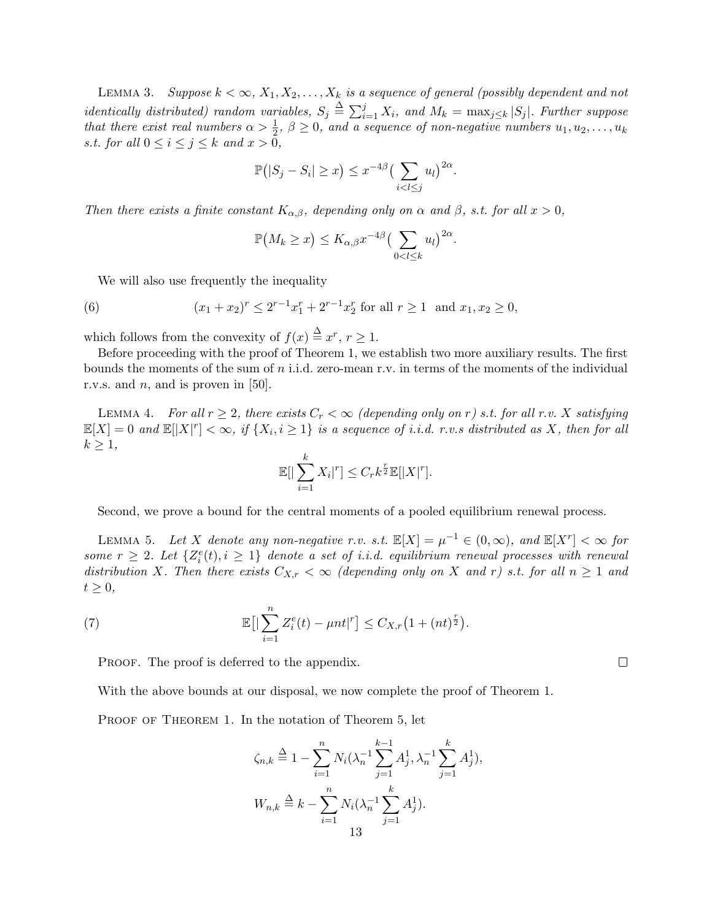LEMMA 3. *Suppose*  $k < \infty$ ,  $X_1, X_2, \ldots, X_k$  *is a sequence of general (possibly dependent and not identically distributed) random variables,*  $S_j \triangleq \sum_{i=1}^j X_i$ , and  $M_k = \max_{j \leq k} |S_j|$ . Further suppose *that there exist real numbers*  $\alpha > \frac{1}{2}$ ,  $\beta \ge 0$ , and a sequence of non-negative numbers  $u_1, u_2, \ldots, u_k$ *s.t. for all*  $0 \le i \le j \le k$  *and*  $x > 0$ *,* 

$$
\mathbb{P}(|S_j - S_i| \geq x) \leq x^{-4\beta} \left(\sum_{i < l \leq j} u_l\right)^{2\alpha}.
$$

*Then there exists a finite constant*  $K_{\alpha,\beta}$ *, depending only on*  $\alpha$  *and*  $\beta$ *, s.t. for all*  $x > 0$ *,* 

$$
\mathbb{P}(M_k \geq x) \leq K_{\alpha,\beta} x^{-4\beta} \left(\sum_{0 < l \leq k} u_l\right)^{2\alpha}.
$$

We will also use frequently the inequality

(6) 
$$
(x_1 + x_2)^r \le 2^{r-1} x_1^r + 2^{r-1} x_2^r \text{ for all } r \ge 1 \text{ and } x_1, x_2 \ge 0,
$$

which follows from the convexity of  $f(x) \stackrel{\Delta}{=} x^r, r \ge 1$ .

Before proceeding with the proof of Theorem 1, we establish two more auxiliary results. The first bounds the moments of the sum of *n* i.i.d. zero-mean r.v. in terms of the moments of the individual r.v.s. and *n*, and is proven in [50].

LEMMA 4. *For all*  $r \geq 2$ , there exists  $C_r < \infty$  (depending only on r) s.t. for all r.v. X satisfying  $\mathbb{E}[X] = 0$  and  $\mathbb{E}[|X|^r] < \infty$ , if  $\{X_i, i \geq 1\}$  is a sequence of i.i.d. r.v.s distributed as X, then for all  $k \geq 1$ *,* 

$$
\mathbb{E}[|\sum_{i=1}^k X_i|^r] \leq C_r k^{\frac{r}{2}} \mathbb{E}[|X|^r].
$$

Second, we prove a bound for the central moments of a pooled equilibrium renewal process.

 $\text{LEMMA } 5.$  *Let X denote any non-negative r.v. s.t.*  $\mathbb{E}[X] = \mu^{-1} \in (0, \infty)$ *, and*  $\mathbb{E}[X^r] < \infty$  for *some*  $r \geq 2$ *. Let*  $\{Z_i^e(t), i \geq 1\}$  *denote a set of i.i.d. equilibrium renewal processes with renewal distribution X. Then there exists*  $C_{X,r} < \infty$  *(depending only on X and r) s.t. for all*  $n \ge 1$  *and*  $t \geq 0$ ,

(7) 
$$
\mathbb{E}\big[\big|\sum_{i=1}^n Z_i^e(t) - \mu nt\big|^r\big] \leq C_{X,r}\big(1 + (nt)^{\frac{r}{2}}\big).
$$

PROOF. The proof is deferred to the appendix.

With the above bounds at our disposal, we now complete the proof of Theorem 1.

PROOF OF THEOREM 1. In the notation of Theorem 5, let

$$
\zeta_{n,k} \stackrel{\Delta}{=} 1 - \sum_{i=1}^{n} N_i (\lambda_n^{-1} \sum_{j=1}^{k-1} A_j^1, \lambda_n^{-1} \sum_{j=1}^{k} A_j^1),
$$
  

$$
W_{n,k} \stackrel{\Delta}{=} k - \sum_{i=1}^{n} N_i (\lambda_n^{-1} \sum_{j=1}^{k} A_j^1).
$$
  
13

 $\Box$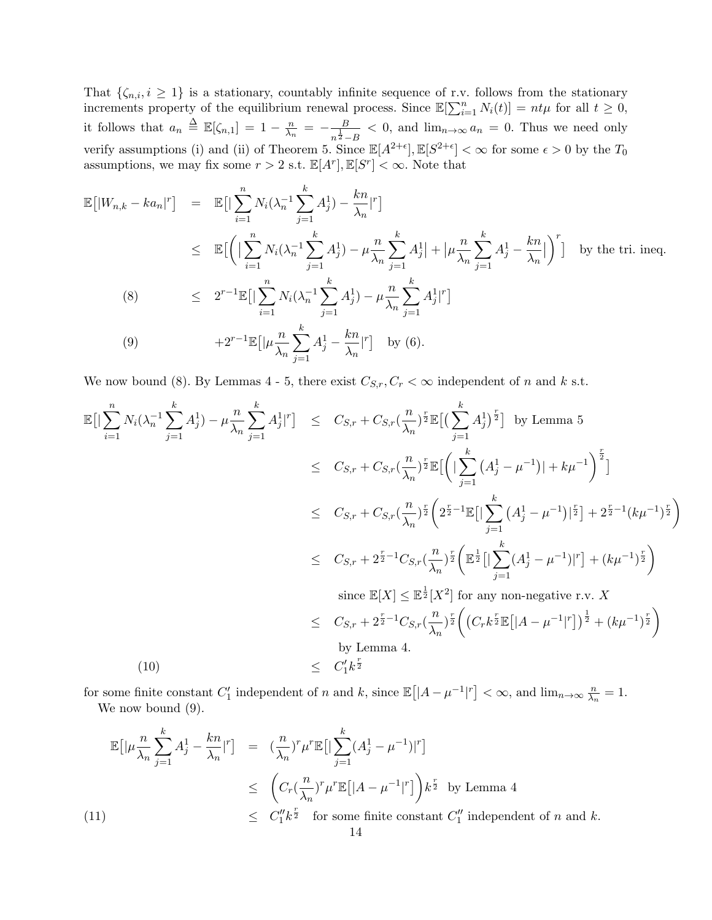That  $\{\zeta_{n,i}, i \geq 1\}$  is a stationary, countably infinite sequence of r.v. follows from the stationary increments property of the equilibrium renewal process. Since  $\mathbb{E}[\sum_{i=1}^{n} N_i(t)] = nt\mu$  for all  $t \geq 0$ , it follows that  $a_n \triangleq \mathbb{E}[\zeta_{n,1}] = 1 - \frac{n}{\lambda_n}$  $\frac{n}{\lambda_n} = -\frac{B}{n^{\frac{1}{2}}}$  $\frac{B}{n^{\frac{1}{2}-B}}$  < 0, and  $\lim_{n\to\infty} a_n = 0$ . Thus we need only verify assumptions (i) and (ii) of Theorem 5. Since  $\mathbb{E}[A^{2+\epsilon}], \mathbb{E}[S^{2+\epsilon}] < \infty$  for some  $\epsilon > 0$  by the  $T_0$ assumptions, we may fix some  $r > 2$  s.t.  $\mathbb{E}[A^r], \mathbb{E}[S^r] < \infty$ . Note that

$$
\mathbb{E}[|W_{n,k} - ka_n|^r] = \mathbb{E}[|\sum_{i=1}^n N_i(\lambda_n^{-1} \sum_{j=1}^k A_j^1) - \frac{kn}{\lambda_n}|^r]
$$
\n
$$
\leq \mathbb{E}[\left(|\sum_{i=1}^n N_i(\lambda_n^{-1} \sum_{j=1}^k A_j^1) - \mu \frac{n}{\lambda_n} \sum_{j=1}^k A_j^1| + |\mu \frac{n}{\lambda_n} \sum_{j=1}^k A_j^1 - \frac{kn}{\lambda_n}| \right)^r] \text{ by the tri. ineq.}
$$
\n(8)\n
$$
\leq 2^{r-1} \mathbb{E}[|\sum_{i=1}^n N_i(\lambda_n^{-1} \sum_{j=1}^k A_j^1) - \mu \frac{n}{\lambda_n} \sum_{j=1}^k A_j^1|^r]
$$
\n(9)\n
$$
+2^{r-1} \mathbb{E}[|\mu \frac{n}{\lambda_n} \sum_{j=1}^k A_j^1 - \frac{kn}{\lambda_n}|^r] \text{ by (6).}
$$

We now bound (8). By Lemmas 4 - 5, there exist  $C_{S,r}, C_r < \infty$  independent of *n* and *k* s.t.

$$
\mathbb{E}\left[\left|\sum_{i=1}^{n} N_{i}(\lambda_{n}^{-1}\sum_{j=1}^{k} A_{j}^{1}) - \mu \frac{n}{\lambda_{n}} \sum_{j=1}^{k} A_{j}^{1}|^{r}\right] \leq C_{S,r} + C_{S,r} (\frac{n}{\lambda_{n}})^{\frac{r}{2}} \mathbb{E}\left[\left(\sum_{j=1}^{k} A_{j}^{1}\right)^{\frac{r}{2}}\right] \text{ by Lemma 5}
$$
\n
$$
\leq C_{S,r} + C_{S,r} (\frac{n}{\lambda_{n}})^{\frac{r}{2}} \mathbb{E}\left[\left(\left|\sum_{j=1}^{k} (A_{j}^{1} - \mu^{-1})| + k\mu^{-1}\right)^{\frac{r}{2}}\right]\right]
$$
\n
$$
\leq C_{S,r} + C_{S,r} (\frac{n}{\lambda_{n}})^{\frac{r}{2}} \left(2^{\frac{r}{2}-1} \mathbb{E}\left[\left|\sum_{j=1}^{k} (A_{j}^{1} - \mu^{-1})|_{2}^{\frac{r}{2}}\right| + 2^{\frac{r}{2}-1} (k\mu^{-1})^{\frac{r}{2}}\right)\right]
$$
\n
$$
\leq C_{S,r} + 2^{\frac{r}{2}-1} C_{S,r} (\frac{n}{\lambda_{n}})^{\frac{r}{2}} \left(\mathbb{E}^{\frac{1}{2}}\left[\left|\sum_{j=1}^{k} (A_{j}^{1} - \mu^{-1})|^{r}\right] + (k\mu^{-1})^{\frac{r}{2}}\right)\right]
$$
\n
$$
\text{since } \mathbb{E}[X] \leq \mathbb{E}^{\frac{1}{2}}[X^{2}] \text{ for any non-negative r.v. } X
$$
\n
$$
\leq C_{S,r} + 2^{\frac{r}{2}-1} C_{S,r} (\frac{n}{\lambda_{n}})^{\frac{r}{2}} \left((C_{r}k^{\frac{r}{2}} \mathbb{E}\left[|A - \mu^{-1}|^{r}\right])^{\frac{1}{2}} + (k\mu^{-1})^{\frac{r}{2}}\right)
$$
\nby Lemma 4.\n
$$
(10)
$$

for some finite constant  $C'_1$  independent of *n* and *k*, since  $\mathbb{E}([A - \mu^{-1}]^r] < \infty$ , and  $\lim_{n \to \infty} \frac{n}{\lambda_r}$  $\frac{n}{\lambda_n}=1.$ We now bound  $(9)$ .

$$
\mathbb{E}\left[|\mu \frac{n}{\lambda_n} \sum_{j=1}^k A_j^1 - \frac{kn}{\lambda_n}|^r\right] = \left(\frac{n}{\lambda_n}\right)^r \mu^r \mathbb{E}\left[\left|\sum_{j=1}^k (A_j^1 - \mu^{-1})\right|^r\right]
$$
  
\n
$$
\leq \left(C_r \left(\frac{n}{\lambda_n}\right)^r \mu^r \mathbb{E}\left[|A - \mu^{-1}|^r\right]\right) k^{\frac{r}{2}} \text{ by Lemma 4}
$$
  
\n(11)  
\n
$$
\leq C_1'' k^{\frac{r}{2}} \text{ for some finite constant } C_1'' \text{ independent of } n \text{ and } k.
$$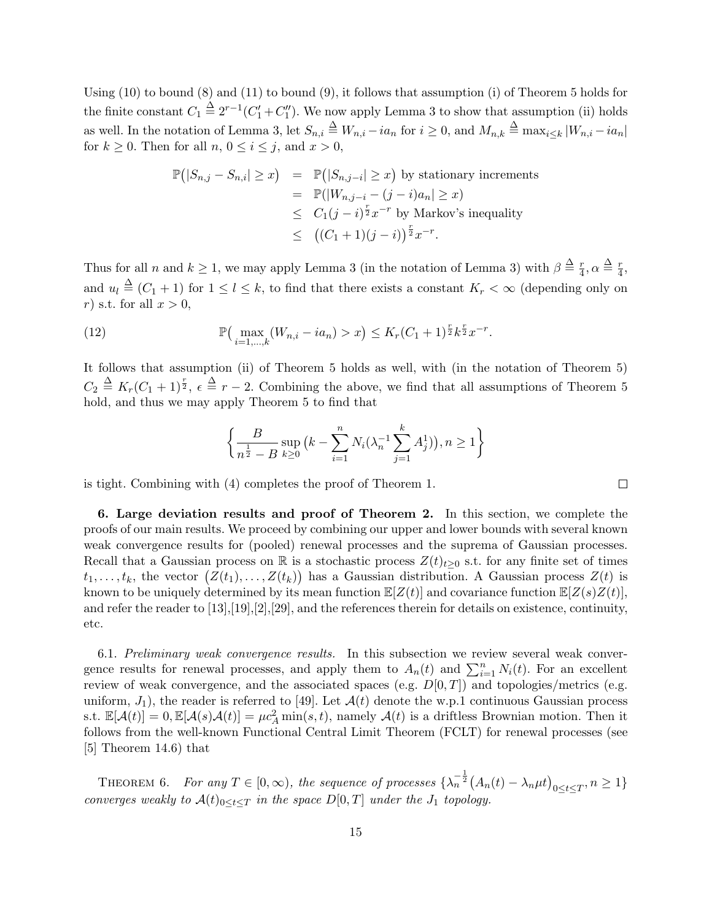Using (10) to bound (8) and (11) to bound (9), it follows that assumption (i) of Theorem 5 holds for the finite constant  $C_1 \stackrel{\Delta}{=} 2^{r-1}(C_1' + C_1'')$ . We now apply Lemma 3 to show that assumption (ii) holds as well. In the notation of Lemma 3, let  $S_{n,i} \triangleq W_{n,i} - ia_n$  for  $i \geq 0$ , and  $M_{n,k} \triangleq \max_{i \leq k} |W_{n,i} - ia_n|$ for  $k \geq 0$ . Then for all  $n, 0 \leq i \leq j$ , and  $x > 0$ ,

$$
\mathbb{P}(|S_{n,j} - S_{n,i}| \ge x) = \mathbb{P}(|S_{n,j-i}| \ge x)
$$
 by stationary increments  
\n
$$
= \mathbb{P}(|W_{n,j-i} - (j-i)a_n| \ge x)
$$
  
\n
$$
\le C_1(j-i)^{\frac{r}{2}}x^{-r}
$$
 by Markov's inequality  
\n
$$
\le ((C_1 + 1)(j-i))^{\frac{r}{2}}x^{-r}.
$$

Thus for all *n* and  $k \geq 1$ , we may apply Lemma 3 (in the notation of Lemma 3) with  $\beta \stackrel{\Delta}{=} \frac{r}{4}$  $\frac{r}{4}, \alpha \stackrel{\Delta}{=} \frac{r}{4}$  $\frac{r}{4}$ , and  $u_l \triangleq (C_1 + 1)$  for  $1 \leq l \leq k$ , to find that there exists a constant  $K_r < \infty$  (depending only on *r*) s.t. for all *x >* 0,

(12) 
$$
\mathbb{P}\left(\max_{i=1,...,k}(W_{n,i}-ia_n)>x\right)\leq K_r(C_1+1)^{\frac{r}{2}}k^{\frac{r}{2}}x^{-r}.
$$

It follows that assumption (ii) of Theorem 5 holds as well, with (in the notation of Theorem 5)  $C_2 \triangleq K_r(C_1 + 1)^{\frac{r}{2}}$ ,  $\epsilon \triangleq r - 2$ . Combining the above, we find that all assumptions of Theorem 5 hold, and thus we may apply Theorem 5 to find that

$$
\left\{\frac{B}{n^{\frac{1}{2}} - B} \sup_{k \ge 0} \left(k - \sum_{i=1}^{n} N_i (\lambda_n^{-1} \sum_{j=1}^{k} A_j^1) \right), n \ge 1 \right\}
$$

 $\Box$ 

is tight. Combining with (4) completes the proof of Theorem 1.

**6. Large deviation results and proof of Theorem 2.** In this section, we complete the proofs of our main results. We proceed by combining our upper and lower bounds with several known weak convergence results for (pooled) renewal processes and the suprema of Gaussian processes. Recall that a Gaussian process on R is a stochastic process  $Z(t)_{t\geq0}$  s.t. for any finite set of times  $t_1, \ldots, t_k$ , the vector  $(Z(t_1), \ldots, Z(t_k))$  has a Gaussian distribution. A Gaussian process  $Z(t)$  is known to be uniquely determined by its mean function  $\mathbb{E}[Z(t)]$  and covariance function  $\mathbb{E}[Z(s)Z(t)]$ , and refer the reader to [13],[19],[2],[29], and the references therein for details on existence, continuity, etc.

6.1. *Preliminary weak convergence results.* In this subsection we review several weak convergence results for renewal processes, and apply them to  $A_n(t)$  and  $\sum_{i=1}^n N_i(t)$ . For an excellent review of weak convergence, and the associated spaces (e.g. *D*[0*, T*]) and topologies/metrics (e.g. uniform,  $J_1$ ), the reader is referred to [49]. Let  $\mathcal{A}(t)$  denote the w.p.1 continuous Gaussian process s.t.  $\mathbb{E}[\mathcal{A}(t)] = 0$ ,  $\mathbb{E}[\mathcal{A}(s)\mathcal{A}(t)] = \mu c_A^2 \min(s, t)$ , namely  $\mathcal{A}(t)$  is a driftless Brownian motion. Then it follows from the well-known Functional Central Limit Theorem (FCLT) for renewal processes (see [5] Theorem 14.6) that

THEOREM 6. For any  $T \in [0, \infty)$ , the sequence of processes  $\{\lambda_n^{-\frac{1}{2}}(A_n(t) - \lambda_n\mu t)_{0 \le t \le T}, n \ge 1\}$ *converges weakly to*  $\mathcal{A}(t)_{0 \leq t \leq T}$  *in the space*  $D[0,T]$  *under the*  $J_1$  *topology.*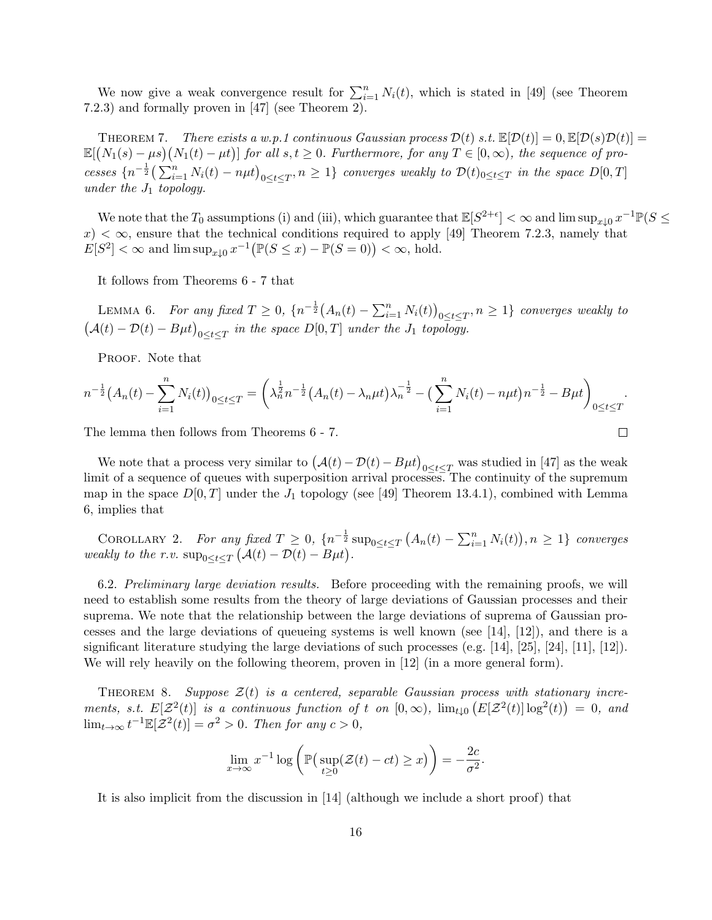We now give a weak convergence result for  $\sum_{i=1}^{n} N_i(t)$ , which is stated in [49] (see Theorem 7.2.3) and formally proven in [47] (see Theorem 2).

**THEOREM 7.** *There exists a w.p.1 continuous Gaussian process*  $\mathcal{D}(t)$  *s.t.*  $\mathbb{E}[\mathcal{D}(t)] = 0$ ,  $\mathbb{E}[\mathcal{D}(s)\mathcal{D}(t)] =$  $\mathbb{E}[(N_1(s) - \mu s)(N_1(t) - \mu t)]$  for all  $s, t \geq 0$ . Furthermore, for any  $T \in [0, \infty)$ , the sequence of processes  $\{n^{-\frac{1}{2}}(\sum_{i=1}^n N_i(t) - n\mu t)_{0 \le t \le T}, n \ge 1\}$  converges weakly to  $\mathcal{D}(t)_{0 \le t \le T}$  in the space  $D[0,T]$ *under the J*<sup>1</sup> *topology.*

We note that the  $T_0$  assumptions (i) and (iii), which guarantee that  $\mathbb{E}[S^{2+\epsilon}] < \infty$  and  $\limsup_{x\downarrow 0} x^{-1}\mathbb{P}(S \leq$  $x$   $\infty$ , ensure that the technical conditions required to apply [49] Theorem 7.2.3, namely that  $E[S^2] < \infty$  and  $\limsup_{x \downarrow 0} x^{-1} (\mathbb{P}(S \le x) - \mathbb{P}(S = 0)) < \infty$ , hold.

It follows from Theorems 6 - 7 that

LEMMA 6. *For any fixed*  $T \ge 0$ ,  $\{n^{-\frac{1}{2}}(A_n(t) - \sum_{i=1}^n N_i(t))\}$  $0 \le t \le T$ ,  $n \ge 1$ *} converges weakly to*  $(A(t) - D(t) - B\mu t)_{0 \le t \le T}$  *in the space*  $D[0, T]$  *under the*  $J_1$  *topology.* 

PROOF. Note that

$$
n^{-\frac{1}{2}}(A_n(t) - \sum_{i=1}^n N_i(t))_{0 \le t \le T} = \left(\lambda_n^{\frac{1}{2}} n^{-\frac{1}{2}} (A_n(t) - \lambda_n \mu t) \lambda_n^{-\frac{1}{2}} - \left(\sum_{i=1}^n N_i(t) - n\mu t\right) n^{-\frac{1}{2}} - B\mu t\right)_{0 \le t \le T}.
$$

 $\Box$ 

The lemma then follows from Theorems 6 - 7.

We note that a process very similar to  $(A(t) - D(t) - B\mu t)_{0 \le t \le T}$  was studied in [47] as the weak limit of a sequence of queues with superposition arrival processes. The continuity of the supremum map in the space  $D[0,T]$  under the  $J_1$  topology (see [49] Theorem 13.4.1), combined with Lemma 6, implies that

COROLLARY 2. For any fixed  $T \geq 0$ ,  $\{n^{-\frac{1}{2}}\sup_{0 \leq t \leq T} (A_n(t) - \sum_{i=1}^n N_i(t)), n \geq 1\}$  converges *weakly to the r.v.*  $\sup_{0 \le t \le T} (\mathcal{A}(t) - \mathcal{D}(t) - B\mu t)$ .

6.2. *Preliminary large deviation results.* Before proceeding with the remaining proofs, we will need to establish some results from the theory of large deviations of Gaussian processes and their suprema. We note that the relationship between the large deviations of suprema of Gaussian processes and the large deviations of queueing systems is well known (see [14], [12]), and there is a significant literature studying the large deviations of such processes (e.g. [14], [25], [24], [11], [12]). We will rely heavily on the following theorem, proven in [12] (in a more general form).

THEOREM 8. Suppose  $\mathcal{Z}(t)$  is a centered, separable Gaussian process with stationary incre*ments, s.t.*  $E[\mathcal{Z}^2(t)]$  *is a continuous function of t on*  $[0, \infty)$ ,  $\lim_{t\downarrow 0} (E[\mathcal{Z}^2(t)] \log^2(t)) = 0$ , and  $\lim_{t\to\infty} t^{-1}\mathbb{E}[\mathcal{Z}^2(t)] = \sigma^2 > 0$ . Then for any  $c > 0$ ,

$$
\lim_{x \to \infty} x^{-1} \log \left( \mathbb{P}(\sup_{t \ge 0} (\mathcal{Z}(t) - ct) \ge x) \right) = -\frac{2c}{\sigma^2}.
$$

It is also implicit from the discussion in [14] (although we include a short proof) that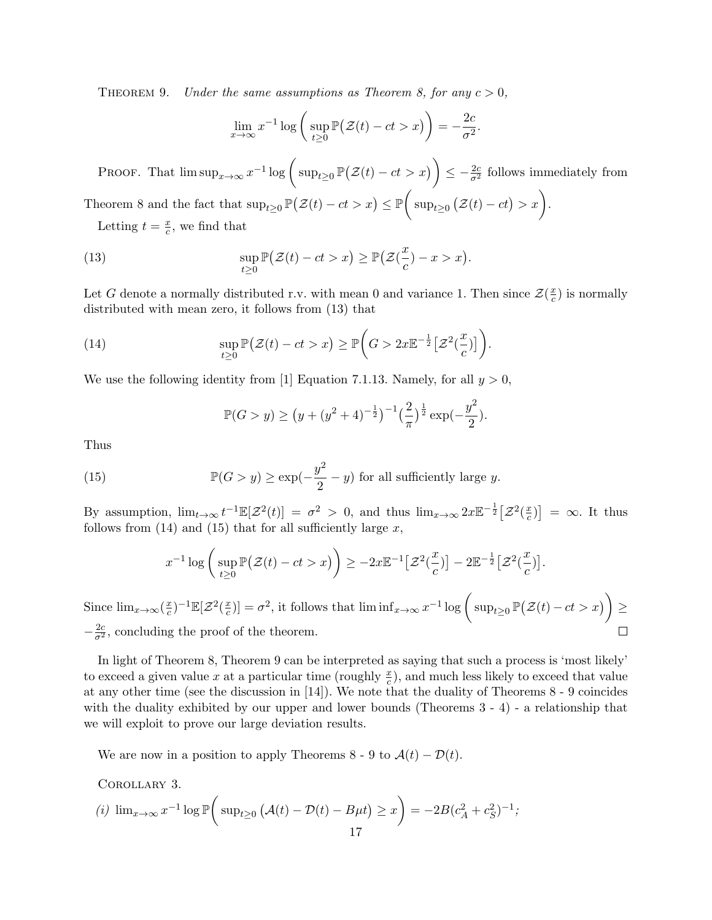THEOREM 9. *Under the same assumptions as Theorem 8, for any*  $c > 0$ ,

$$
\lim_{x \to \infty} x^{-1} \log \left( \sup_{t \ge 0} \mathbb{P}(\mathcal{Z}(t) - ct > x) \right) = -\frac{2c}{\sigma^2}.
$$

PROOF. That  $\limsup_{x\to\infty} x^{-1} \log \left( \sup_{t\geq 0} \mathbb{P}(\mathcal{Z}(t) - ct > x) \right) \leq -\frac{2c}{\sigma^2}$  follows immediately from Theorem 8 and the fact that  $\sup_{t\geq 0} \mathbb{P}(\mathcal{Z}(t) - ct > x) \leq \mathbb{P}$  $\sqrt{ }$  $\sup_{t\geq 0} (\mathcal{Z}(t) - ct) > x.$ 

Letting  $t = \frac{x}{c}$  $\frac{x}{c}$ , we find that

(13) 
$$
\sup_{t\geq 0} \mathbb{P}(\mathcal{Z}(t) - ct > x) \geq \mathbb{P}(\mathcal{Z}(\frac{x}{c}) - x > x).
$$

Let *G* denote a normally distributed r.v. with mean 0 and variance 1. Then since  $\mathcal{Z}(\frac{x}{c})$  $\frac{x}{c}$ ) is normally distributed with mean zero, it follows from (13) that

(14) 
$$
\sup_{t\geq 0} \mathbb{P}\big(\mathcal{Z}(t) - ct > x\big) \geq \mathbb{P}\bigg(G > 2x\mathbb{E}^{-\frac{1}{2}}\big[\mathcal{Z}^2(\frac{x}{c})\big]\bigg).
$$

We use the following identity from [1] Equation 7.1.13. Namely, for all  $y > 0$ ,

$$
\mathbb{P}(G > y) \ge (y + (y^2 + 4)^{-\frac{1}{2}})^{-1} \left(\frac{2}{\pi}\right)^{\frac{1}{2}} \exp\left(-\frac{y^2}{2}\right).
$$

Thus

(15) 
$$
\mathbb{P}(G > y) \ge \exp(-\frac{y^2}{2} - y) \text{ for all sufficiently large } y.
$$

By assumption,  $\lim_{t\to\infty} t^{-1} \mathbb{E}[\mathcal{Z}^2(t)] = \sigma^2 > 0$ , and thus  $\lim_{x\to\infty} 2x \mathbb{E}^{-\frac{1}{2}} [\mathcal{Z}^2(\frac{x}{c})]$  $(\frac{x}{c})$  = ∞*.* It thus follows from (14) and (15) that for all sufficiently large *x*,

$$
x^{-1}\log\bigg(\sup_{t\geq 0}\mathbb{P}\big(\mathcal{Z}(t)-ct>x\big)\bigg)\geq -2x\mathbb{E}^{-1}\big[\mathcal{Z}^2(\frac{x}{c})\big]-2\mathbb{E}^{-\frac{1}{2}}\big[\mathcal{Z}^2(\frac{x}{c})\big].
$$

 $\left[\exp\left(\frac{x}{c}\right)\right] = \sigma^2$ , it follows that  $\liminf_{x \to \infty} x^{-1} \log \left( \sup_{t \geq 0} \mathbb{P}(\mathcal{Z}(t) - ct > x) \right)$ Since  $\lim_{x\to\infty}$   $\left(\frac{x}{c}\right)$ *z*<sup>2</sup>)<sup>-1</sup>E[Z<sup>2</sup>( $\frac{x}{c}$ *≥*  $-\frac{2c}{\sigma^2}$ , concluding the proof of the theorem.  $\Box$ 

In light of Theorem 8, Theorem 9 can be interpreted as saying that such a process is 'most likely' to exceed a given value x at a particular time (roughly  $\frac{x}{c}$ ), and much less likely to exceed that value at any other time (see the discussion in [14]). We note that the duality of Theorems 8 - 9 coincides with the duality exhibited by our upper and lower bounds (Theorems 3 - 4) - a relationship that we will exploit to prove our large deviation results.

We are now in a position to apply Theorems 8 - 9 to  $\mathcal{A}(t) - \mathcal{D}(t)$ .

Corollary 3.

(i) 
$$
\lim_{x \to \infty} x^{-1} \log \mathbb{P}\left(\sup_{t \ge 0} (\mathcal{A}(t) - \mathcal{D}(t) - B\mu t) \ge x\right) = -2B(c_A^2 + c_S^2)^{-1};
$$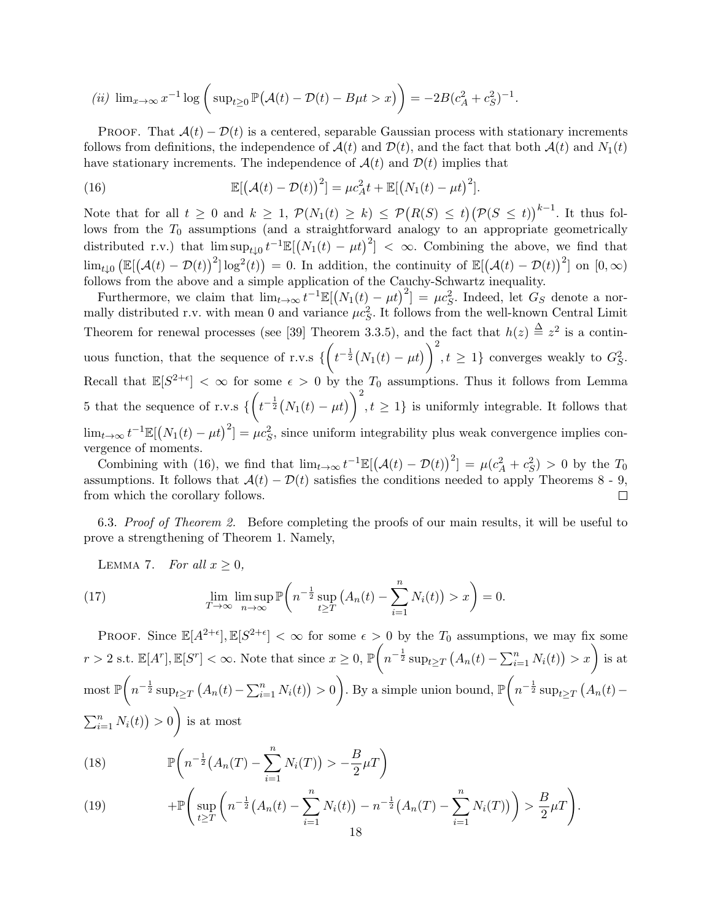(*ii*) 
$$
\lim_{x \to \infty} x^{-1} \log \left( \sup_{t \ge 0} \mathbb{P}(\mathcal{A}(t) - \mathcal{D}(t) - B\mu t > x) \right) = -2B(c_A^2 + c_S^2)^{-1}.
$$

PROOF. That  $A(t) - \mathcal{D}(t)$  is a centered, separable Gaussian process with stationary increments follows from definitions, the independence of  $\mathcal{A}(t)$  and  $\mathcal{D}(t)$ , and the fact that both  $\mathcal{A}(t)$  and  $N_1(t)$ have stationary increments. The independence of  $A(t)$  and  $D(t)$  implies that

(16) 
$$
\mathbb{E}[(\mathcal{A}(t) - \mathcal{D}(t))^2] = \mu c_A^2 t + \mathbb{E}[(N_1(t) - \mu t)^2].
$$

Note that for all  $t \geq 0$  and  $k \geq 1$ ,  $\mathcal{P}(N_1(t) \geq k) \leq \mathcal{P}(R(S) \leq t) (\mathcal{P}(S \leq t))^{k-1}$ . It thus follows from the  $T_0$  assumptions (and a straightforward analogy to an appropriate geometrically distributed r.v.) that  $\limsup_{t\downarrow 0} t^{-1} \mathbb{E}[(N_1(t) - \mu t)^2] < \infty$ . Combining the above, we find that  $\lim_{t\downarrow 0} \left( \mathbb{E}[(\mathcal{A}(t) - \mathcal{D}(t))^2] \log^2(t) \right) = 0.$  In addition, the continuity of  $\mathbb{E}[(\mathcal{A}(t) - \mathcal{D}(t))^2]$  on  $[0, \infty)$ follows from the above and a simple application of the Cauchy-Schwartz inequality.

Furthermore, we claim that  $\lim_{t\to\infty} t^{-1}\mathbb{E}[(N_1(t)-\mu t)^2] = \mu c_S^2$ . Indeed, let  $G_S$  denote a normally distributed r.v. with mean 0 and variance  $\mu c_S^2$ . It follows from the well-known Central Limit Theorem for renewal processes (see [39] Theorem 3.3.5), and the fact that  $h(z) \stackrel{\Delta}{=} z^2$  is a continuous function, that the sequence of r.v.s *{*  $\sqrt{2}$  $t^{-\frac{1}{2}}(N_1(t) - \mu t)\bigg)^2$  $, t \geq 1$ } converges weakly to  $G_S^2$ . Recall that  $\mathbb{E}[S^{2+\epsilon}] < \infty$  for some  $\epsilon > 0$  by the  $T_0$  assumptions. Thus it follows from Lemma 5 that the sequence of r.v.s *{*  $\sqrt{2}$  $t^{-\frac{1}{2}}(N_1(t) - \mu t)\bigg)^2$  $, t \geq 1$ } is uniformly integrable. It follows that  $\lim_{t\to\infty} t^{-1}\mathbb{E}[(N_1(t) - \mu t)^2] = \mu c_S^2$ , since uniform integrability plus weak convergence implies convergence of moments.

Combining with (16), we find that  $\lim_{t\to\infty} t^{-1}\mathbb{E}[(\mathcal{A}(t)-\mathcal{D}(t))^2] = \mu(c_A^2+c_S^2) > 0$  by the  $T_0$ assumptions. It follows that  $\mathcal{A}(t) - \mathcal{D}(t)$  satisfies the conditions needed to apply Theorems 8 - 9,  $\Box$ from which the corollary follows.

6.3. *Proof of Theorem 2.* Before completing the proofs of our main results, it will be useful to prove a strengthening of Theorem 1. Namely,

LEMMA 7. *For all*  $x > 0$ ,

(17) 
$$
\lim_{T \to \infty} \lim_{n \to \infty} \sup \mathbb{P}\left(n^{-\frac{1}{2}} \sup_{t \geq T} \left(A_n(t) - \sum_{i=1}^n N_i(t)\right) > x\right) = 0.
$$

PROOF. Since  $\mathbb{E}[A^{2+\epsilon}], \mathbb{E}[S^{2+\epsilon}] < \infty$  for some  $\epsilon > 0$  by the  $T_0$  assumptions, we may fix some  $r > 2$  s.t.  $\mathbb{E}[A^r], \mathbb{E}[S^r] < \infty$ . Note that since  $x \geq 0$ ,  $\mathbb{P}$  $\sqrt{2}$  $n^{-\frac{1}{2}} \sup_{t \geq T} (A_n(t) - \sum_{i=1}^n N_i(t)) > x$  is at most P  $\sqrt{ }$  $n^{-\frac{1}{2}} \sup_{t \geq T} (A_n(t) - \sum_{i=1}^n N_i(t)) > 0$  $\setminus$ . By a simple union bound,  $\mathbb P$  $\sqrt{2}$  $n^{-\frac{1}{2}} \sup_{t \geq T} (A_n(t) \sum_{i=1}^{n} N_i(t) > 0$  $\setminus$ is at most

(18) 
$$
\mathbb{P}\left(n^{-\frac{1}{2}}(A_n(T) - \sum_{i=1}^n N_i(T)) > -\frac{B}{2}\mu T\right)
$$

(19) 
$$
+\mathbb{P}\left(\sup_{t\geq T}\left(n^{-\frac{1}{2}}\left(A_n(t)-\sum_{i=1}^n N_i(t)\right)-n^{-\frac{1}{2}}\left(A_n(T)-\sum_{i=1}^n N_i(T)\right)\right)>\frac{B}{2}\mu T\right).
$$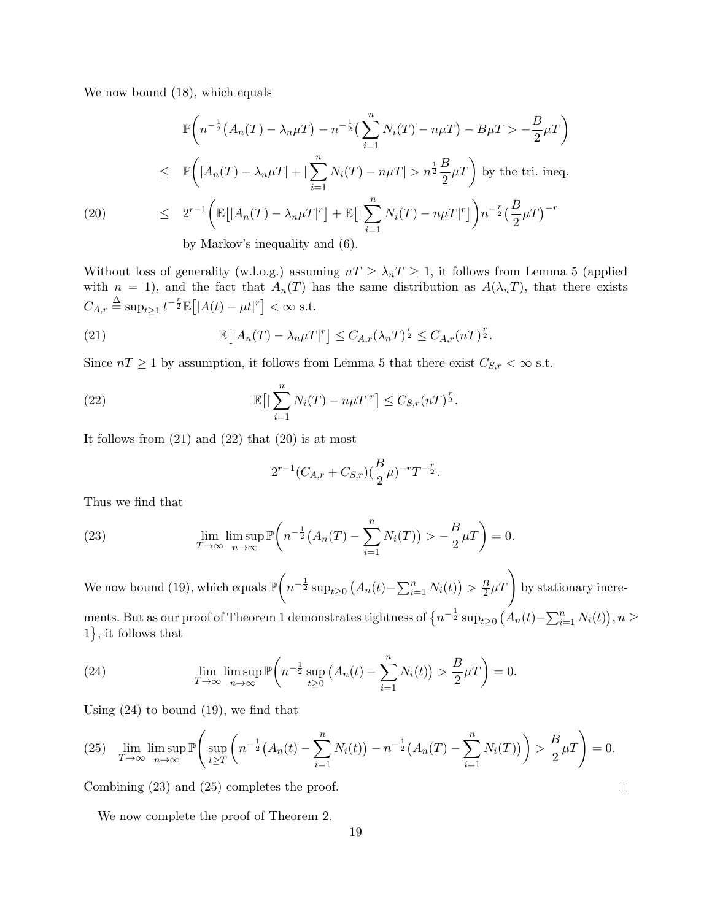We now bound (18), which equals

$$
\mathbb{P}\left(n^{-\frac{1}{2}}\left(A_n(T) - \lambda_n\mu T\right) - n^{-\frac{1}{2}}\left(\sum_{i=1}^n N_i(T) - n\mu T\right) - B\mu T > -\frac{B}{2}\mu T\right)
$$
\n
$$
\leq \mathbb{P}\left(\left|A_n(T) - \lambda_n\mu T\right| + \left|\sum_{i=1}^n N_i(T) - n\mu T\right| > n^{\frac{1}{2}}\frac{B}{2}\mu T\right) \text{ by the tri. ineq.}
$$
\n(20)\n
$$
\leq 2^{r-1}\left(\mathbb{E}\left[\left|A_n(T) - \lambda_n\mu T\right|^r\right] + \mathbb{E}\left[\left|\sum_{i=1}^n N_i(T) - n\mu T\right|^r\right]\right)n^{-\frac{r}{2}}\left(\frac{B}{2}\mu T\right)^{-r}
$$
\nby Markov's inequality and (6).

Without loss of generality (w.l.o.g.) assuming  $nT \geq \lambda_n T \geq 1$ , it follows from Lemma 5 (applied with  $n = 1$ , and the fact that  $A_n(T)$  has the same distribution as  $A(\lambda_n T)$ , that there exists  $C_{A,r} \triangleq \sup_{t \ge 1} t^{-\frac{r}{2}} \mathbb{E}[|A(t) - \mu t|^r] < \infty$  s.t.

(21) 
$$
\mathbb{E}\big[|A_n(T) - \lambda_n \mu T|^r\big] \leq C_{A,r} (\lambda_n T)^{\frac{r}{2}} \leq C_{A,r} (nT)^{\frac{r}{2}}.
$$

Since  $nT \geq 1$  by assumption, it follows from Lemma 5 that there exist  $C_{S,r} < \infty$  s.t.

(22) 
$$
\mathbb{E}\big[\big|\sum_{i=1}^n N_i(T) - n\mu T\big|^r\big] \leq C_{S,r}(nT)^{\frac{r}{2}}.
$$

It follows from  $(21)$  and  $(22)$  that  $(20)$  is at most

$$
2^{r-1}(C_{A,r}+C_{S,r})(\frac{B}{2}\mu)^{-r}T^{-\frac{r}{2}}.
$$

Thus we find that

(23) 
$$
\lim_{T \to \infty} \lim_{n \to \infty} \mathbb{P}\left(n^{-\frac{1}{2}}\left(A_n(T) - \sum_{i=1}^n N_i(T)\right) > -\frac{B}{2}\mu T\right) = 0.
$$

We now bound (19), which equals  $\mathbb P$  $\sqrt{2}$  $n^{-\frac{1}{2}} \sup_{t \geq 0} (A_n(t) - \sum_{i=1}^n N_i(t)) > \frac{B}{2}$  $\frac{B}{2}\mu T$  by stationary increments. But as our proof of Theorem 1 demonstrates tightness of  $\{n^{-\frac{1}{2}}\sup_{t\geq 0} (A_n(t)-\sum_{i=1}^n N_i(t)), n\geq 0\}$ 1 } , it follows that

(24) 
$$
\lim_{T \to \infty} \lim_{n \to \infty} \mathbb{P}\left(n^{-\frac{1}{2}} \sup_{t \ge 0} \left(A_n(t) - \sum_{i=1}^n N_i(t)\right) > \frac{B}{2} \mu T\right) = 0.
$$

Using (24) to bound (19), we find that

$$
(25) \quad \lim_{T \to \infty} \limsup_{n \to \infty} \mathbb{P}\left(\sup_{t \geq T} \left(n^{-\frac{1}{2}}(A_n(t) - \sum_{i=1}^n N_i(t)) - n^{-\frac{1}{2}}(A_n(T) - \sum_{i=1}^n N_i(T))\right) > \frac{B}{2}\mu T\right) = 0.
$$

 $\Box$ 

Combining (23) and (25) completes the proof.

We now complete the proof of Theorem 2.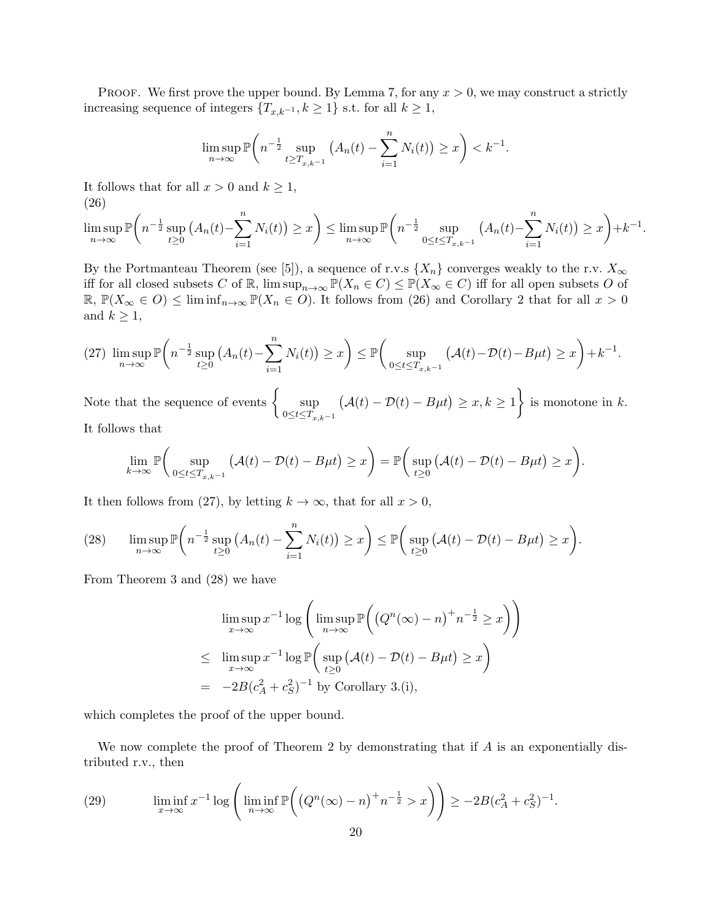**PROOF.** We first prove the upper bound. By Lemma 7, for any  $x > 0$ , we may construct a strictly increasing sequence of integers  ${T_{x,k^{-1},k \geq 1}}$  s.t. for all  $k \geq 1$ ,

$$
\limsup_{n \to \infty} \mathbb{P}\bigg(n^{-\frac{1}{2}} \sup_{t \ge T_{x,k^{-1}}} (A_n(t) - \sum_{i=1}^n N_i(t)) \ge x\bigg) < k^{-1}.
$$

It follows that for all  $x > 0$  and  $k \geq 1$ , (26)

$$
\limsup_{n \to \infty} \mathbb{P}\left(n^{-\frac{1}{2}} \sup_{t \ge 0} (A_n(t) - \sum_{i=1}^n N_i(t)) \ge x\right) \le \limsup_{n \to \infty} \mathbb{P}\left(n^{-\frac{1}{2}} \sup_{0 \le t \le T_{x,k-1}} (A_n(t) - \sum_{i=1}^n N_i(t)) \ge x\right) + k^{-1}.
$$

By the Portmanteau Theorem (see [5]), a sequence of r.v.s  $\{X_n\}$  converges weakly to the r.v.  $X_\infty$ iff for all closed subsets *C* of  $\mathbb{R}$ ,  $\limsup_{n\to\infty} \mathbb{P}(X_n \in C) \leq \mathbb{P}(X_\infty \in C)$  iff for all open subsets *O* of R,  $\mathbb{P}(X_{\infty} \in O)$  ≤ lim inf<sub>n→∞</sub>  $\mathbb{P}(X_n \in O)$ . It follows from (26) and Corollary 2 that for all  $x > 0$ and  $k \geq 1$ ,

$$
(27)\ \limsup_{n\to\infty}\mathbb{P}\bigg(n^{-\frac{1}{2}}\sup_{t\geq 0}\big(A_n(t)-\sum_{i=1}^n N_i(t)\big)\geq x\bigg)\leq \mathbb{P}\bigg(\sup_{0\leq t\leq T_{x,k-1}}\big(\mathcal{A}(t)-\mathcal{D}(t)-B\mu t\big)\geq x\bigg)+k^{-1}.
$$

Note that the sequence of events  $\begin{cases} \text{sup} \end{cases}$ 0*≤t≤Tx,k−*<sup>1</sup>  $(A(t) - D(t) - B\mu t) \geq x, k \geq 1$  $\mathcal{L}$ is monotone in *k*.

It follows that

$$
\lim_{k \to \infty} \mathbb{P}\bigg(\sup_{0 \le t \le T_{x,k} - 1} \big(A(t) - \mathcal{D}(t) - B\mu t\big) \ge x\bigg) = \mathbb{P}\bigg(\sup_{t \ge 0} \big(A(t) - \mathcal{D}(t) - B\mu t\big) \ge x\bigg).
$$

It then follows from (27), by letting  $k \to \infty$ , that for all  $x > 0$ ,

(28) 
$$
\limsup_{n\to\infty} \mathbb{P}\left(n^{-\frac{1}{2}}\sup_{t\geq 0} (A_n(t) - \sum_{i=1}^n N_i(t)) \geq x\right) \leq \mathbb{P}\left(\sup_{t\geq 0} (A(t) - \mathcal{D}(t) - B\mu t) \geq x\right).
$$

From Theorem 3 and (28) we have

$$
\limsup_{x \to \infty} x^{-1} \log \left( \limsup_{n \to \infty} \mathbb{P} \left( \left( Q^n(\infty) - n \right)^+ n^{-\frac{1}{2}} \ge x \right) \right)
$$
\n
$$
\le \limsup_{x \to \infty} x^{-1} \log \mathbb{P} \left( \sup_{t \ge 0} \left( \mathcal{A}(t) - \mathcal{D}(t) - B\mu t \right) \ge x \right)
$$
\n
$$
= -2B(c_A^2 + c_S^2)^{-1} \text{ by Corollary 3. (i)},
$$

which completes the proof of the upper bound.

We now complete the proof of Theorem 2 by demonstrating that if *A* is an exponentially distributed r.v., then

(29) 
$$
\liminf_{x \to \infty} x^{-1} \log \left( \liminf_{n \to \infty} \mathbb{P}\left( \left( Q^n(\infty) - n \right)^+ n^{-\frac{1}{2}} > x \right) \right) \ge -2B(c_A^2 + c_S^2)^{-1}.
$$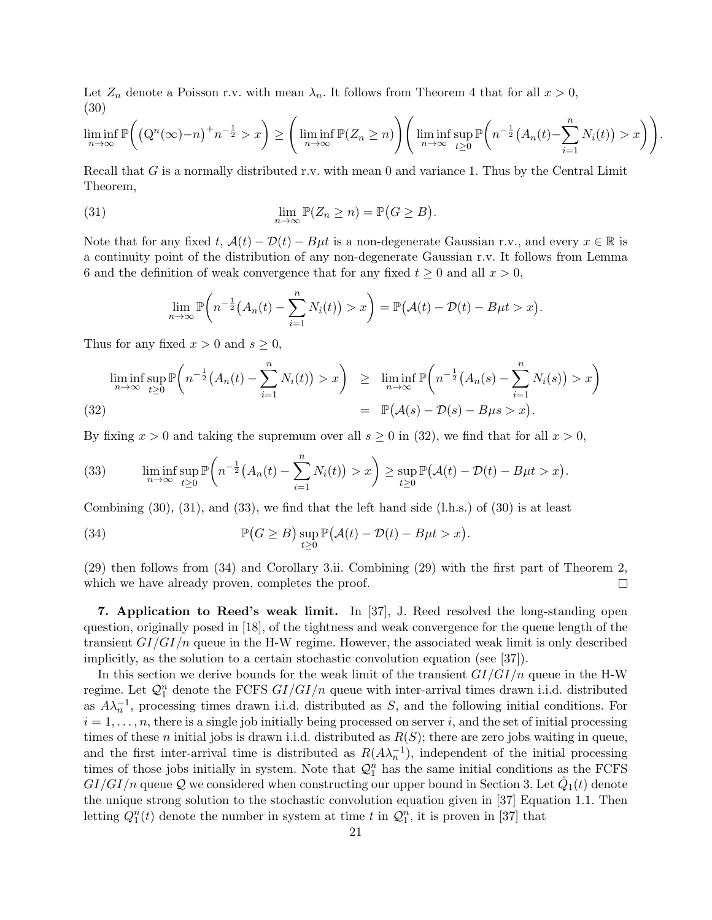Let  $Z_n$  denote a Poisson r.v. with mean  $\lambda_n$ . It follows from Theorem 4 that for all  $x > 0$ , (30)

$$
\liminf_{n \to \infty} \mathbb{P}\left(\left(Q^n(\infty) - n\right)^+ n^{-\frac{1}{2}} > x\right) \ge \left(\liminf_{n \to \infty} \mathbb{P}(Z_n \ge n)\right) \left(\liminf_{n \to \infty} \sup_{t \ge 0} \mathbb{P}\left(n^{-\frac{1}{2}}\left(A_n(t) - \sum_{i=1}^n N_i(t)\right) > x\right)\right)
$$

*.*

Recall that *G* is a normally distributed r.v. with mean 0 and variance 1. Thus by the Central Limit Theorem,

(31) 
$$
\lim_{n \to \infty} \mathbb{P}(Z_n \ge n) = \mathbb{P}(G \ge B).
$$

Note that for any fixed  $t$ ,  $\mathcal{A}(t) - \mathcal{D}(t) - B\mu t$  is a non-degenerate Gaussian r.v., and every  $x \in \mathbb{R}$  is a continuity point of the distribution of any non-degenerate Gaussian r.v. It follows from Lemma 6 and the definition of weak convergence that for any fixed  $t \geq 0$  and all  $x > 0$ ,

$$
\lim_{n\to\infty}\mathbb{P}\bigg(n^{-\frac{1}{2}}\big(A_n(t)-\sum_{i=1}^n N_i(t)\big)>x\bigg)=\mathbb{P}\big(\mathcal{A}(t)-\mathcal{D}(t)-B\mu t>x\big).
$$

Thus for any fixed  $x > 0$  and  $s \geq 0$ ,

$$
\liminf_{n \to \infty} \sup_{t \ge 0} \mathbb{P}\left(n^{-\frac{1}{2}}(A_n(t) - \sum_{i=1}^n N_i(t)) > x\right) \ge \liminf_{n \to \infty} \mathbb{P}\left(n^{-\frac{1}{2}}(A_n(s) - \sum_{i=1}^n N_i(s)) > x\right) = \mathbb{P}(\mathcal{A}(s) - \mathcal{D}(s) - B\mu s > x).
$$

By fixing  $x > 0$  and taking the supremum over all  $s \ge 0$  in (32), we find that for all  $x > 0$ ,

(33) 
$$
\liminf_{n\to\infty}\sup_{t\geq 0}\mathbb{P}\bigg(n^{-\frac{1}{2}}\big(A_n(t)-\sum_{i=1}^nN_i(t)\big)>x\bigg)\geq \sup_{t\geq 0}\mathbb{P}\big(\mathcal{A}(t)-\mathcal{D}(t)-B\mu t>x\big).
$$

Combining (30), (31), and (33), we find that the left hand side (l.h.s.) of (30) is at least

(34) 
$$
\mathbb{P}(G \geq B) \sup_{t \geq 0} \mathbb{P}(\mathcal{A}(t) - \mathcal{D}(t) - B\mu t > x).
$$

(29) then follows from (34) and Corollary 3.ii. Combining (29) with the first part of Theorem 2, which we have already proven, completes the proof.  $\Box$ 

**7. Application to Reed's weak limit.** In [37], J. Reed resolved the long-standing open question, originally posed in [18], of the tightness and weak convergence for the queue length of the transient *GI/GI/n* queue in the H-W regime. However, the associated weak limit is only described implicitly, as the solution to a certain stochastic convolution equation (see [37]).

In this section we derive bounds for the weak limit of the transient *GI/GI/n* queue in the H-W regime. Let  $\mathcal{Q}_1^n$  denote the FCFS  $GI/GI/n$  queue with inter-arrival times drawn i.i.d. distributed as  $A\lambda_n^{-1}$ , processing times drawn i.i.d. distributed as *S*, and the following initial conditions. For  $i = 1, \ldots, n$ , there is a single job initially being processed on server *i*, and the set of initial processing times of these *n* initial jobs is drawn i.i.d. distributed as *R*(*S*); there are zero jobs waiting in queue, and the first inter-arrival time is distributed as  $R(A\lambda_n^{-1})$ , independent of the initial processing times of those jobs initially in system. Note that  $\mathcal{Q}_1^n$  has the same initial conditions as the FCFS  $GI/GI/n$  queue  $\mathcal Q$  we considered when constructing our upper bound in Section 3. Let  $\hat Q_1(t)$  denote the unique strong solution to the stochastic convolution equation given in [37] Equation 1.1. Then letting  $Q_1^n(t)$  denote the number in system at time *t* in  $\mathcal{Q}_1^n$ , it is proven in [37] that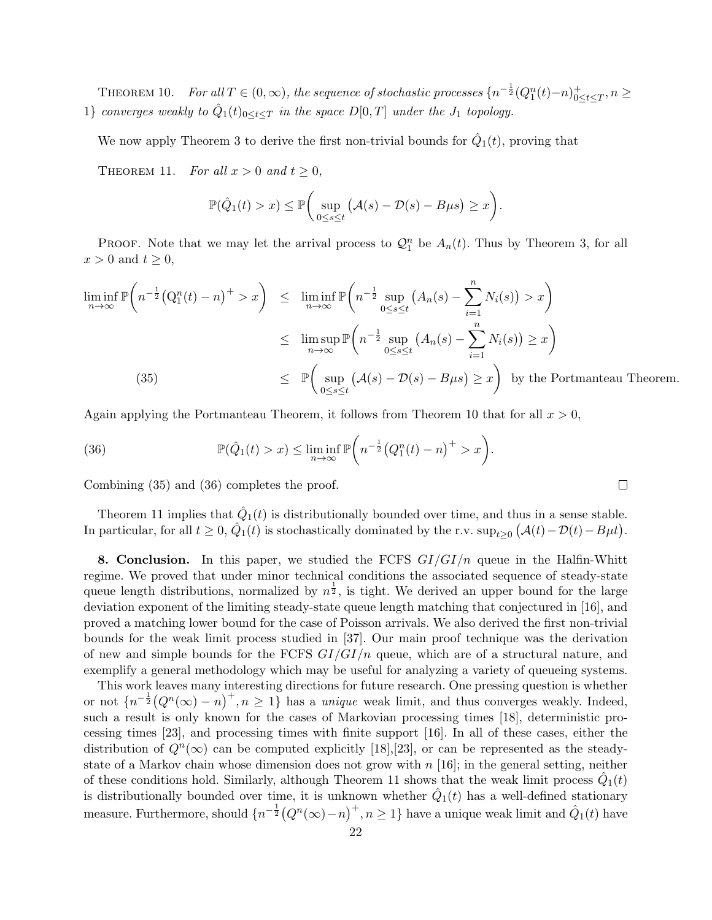THEOREM 10. For all  $T \in (0, \infty)$ , the sequence of stochastic processes  $\{n^{-\frac{1}{2}}(Q_1^n(t)-n)_{0 \leq \frac{1}{2}}^{+}$ 0*≤t≤T , n ≥* 1*} converges weakly to*  $\hat{Q}_1(t)_{0 \le t \le T}$  *in the space*  $D[0,T]$  *under the*  $J_1$  *topology.* 

We now apply Theorem 3 to derive the first non-trivial bounds for  $\hat{Q}_1(t)$ , proving that

THEOREM 11. *For all*  $x > 0$  *and*  $t \ge 0$ ,

$$
\mathbb{P}(\hat{Q}_1(t) > x) \le \mathbb{P}\bigg(\sup_{0 \le s \le t} (A(s) - \mathcal{D}(s) - B\mu s) \ge x\bigg).
$$

PROOF. Note that we may let the arrival process to  $\mathcal{Q}_1^n$  be  $A_n(t)$ . Thus by Theorem 3, for all  $x > 0$  and  $t \geq 0$ ,

$$
\liminf_{n \to \infty} \mathbb{P}\left(n^{-\frac{1}{2}}\left(Q_1^n(t) - n\right)^+ > x\right) \leq \liminf_{n \to \infty} \mathbb{P}\left(n^{-\frac{1}{2}} \sup_{0 \leq s \leq t} \left(A_n(s) - \sum_{i=1}^n N_i(s)\right) > x\right)
$$
\n
$$
\leq \limsup_{n \to \infty} \mathbb{P}\left(n^{-\frac{1}{2}} \sup_{0 \leq s \leq t} \left(A_n(s) - \sum_{i=1}^n N_i(s)\right) \geq x\right)
$$
\n(35)\n
$$
\leq \mathbb{P}\left(\sup_{0 \leq s \leq t} \left(\mathcal{A}(s) - \mathcal{D}(s) - B\mu s\right) \geq x\right) \text{ by the Portmanteau Theorem.}
$$

*.*

Again applying the Portmanteau Theorem, it follows from Theorem 10 that for all  $x > 0$ ,

(36) 
$$
\mathbb{P}(\hat{Q}_1(t) > x) \le \liminf_{n \to \infty} \mathbb{P}\left(n^{-\frac{1}{2}}(Q_1^n(t) - n)^+ > x\right)
$$

Combining (35) and (36) completes the proof.

Theorem 11 implies that  $\hat{Q}_1(t)$  is distributionally bounded over time, and thus in a sense stable. In particular, for all  $t \geq 0$ ,  $\hat{Q}_1(t)$  is stochastically dominated by the r.v.  $\sup_{t \geq 0} (\mathcal{A}(t) - \mathcal{D}(t) - B\mu t)$ .

**8. Conclusion.** In this paper, we studied the FCFS *GI/GI/n* queue in the Halfin-Whitt regime. We proved that under minor technical conditions the associated sequence of steady-state queue length distributions, normalized by  $n^{\frac{1}{2}}$ , is tight. We derived an upper bound for the large deviation exponent of the limiting steady-state queue length matching that conjectured in [16], and proved a matching lower bound for the case of Poisson arrivals. We also derived the first non-trivial bounds for the weak limit process studied in [37]. Our main proof technique was the derivation of new and simple bounds for the FCFS *GI/GI/n* queue, which are of a structural nature, and exemplify a general methodology which may be useful for analyzing a variety of queueing systems.

This work leaves many interesting directions for future research. One pressing question is whether or not  $\{n^{-\frac{1}{2}}(Q^n(\infty) - n)^+, n \geq 1\}$  has a *unique* weak limit, and thus converges weakly. Indeed, such a result is only known for the cases of Markovian processing times [18], deterministic processing times [23], and processing times with finite support [16]. In all of these cases, either the distribution of  $Q^n(\infty)$  can be computed explicitly [18], [23], or can be represented as the steadystate of a Markov chain whose dimension does not grow with *n* [16]; in the general setting, neither of these conditions hold. Similarly, although Theorem 11 shows that the weak limit process  $\hat{Q}_1(t)$ is distributionally bounded over time, it is unknown whether  $\hat{Q}_1(t)$  has a well-defined stationary  $\alpha$  measure. Furthermore, should  $\{n^{-\frac{1}{2}}(Q^n(\infty)-n)^+, n\geq 1\}$  have a unique weak limit and  $\hat{Q}_1(t)$  have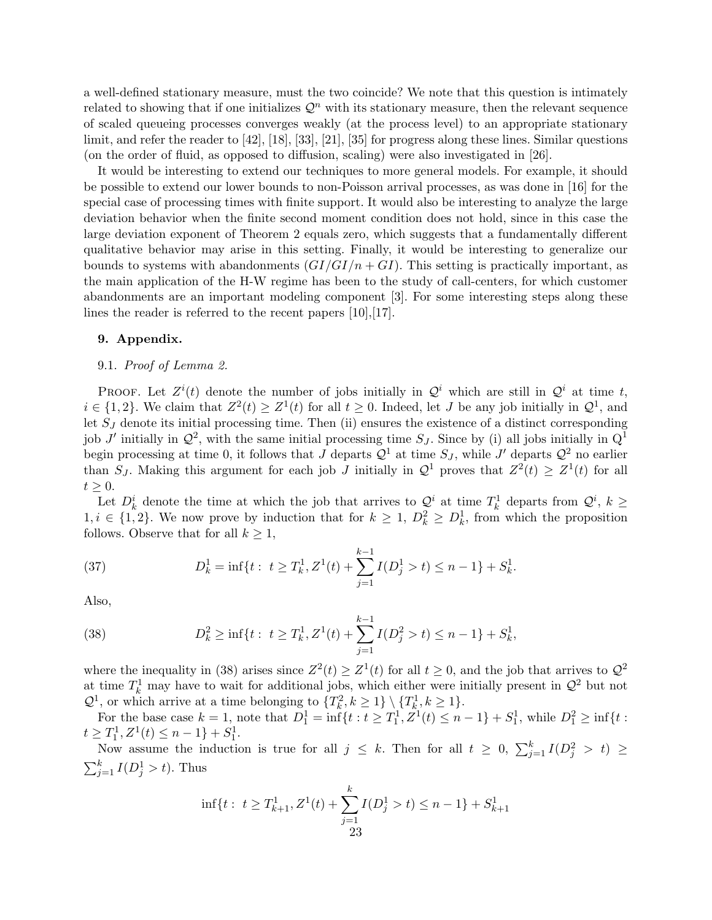a well-defined stationary measure, must the two coincide? We note that this question is intimately related to showing that if one initializes  $\mathcal{Q}^n$  with its stationary measure, then the relevant sequence of scaled queueing processes converges weakly (at the process level) to an appropriate stationary limit, and refer the reader to [42], [18], [33], [21], [35] for progress along these lines. Similar questions (on the order of fluid, as opposed to diffusion, scaling) were also investigated in [26].

It would be interesting to extend our techniques to more general models. For example, it should be possible to extend our lower bounds to non-Poisson arrival processes, as was done in [16] for the special case of processing times with finite support. It would also be interesting to analyze the large deviation behavior when the finite second moment condition does not hold, since in this case the large deviation exponent of Theorem 2 equals zero, which suggests that a fundamentally different qualitative behavior may arise in this setting. Finally, it would be interesting to generalize our bounds to systems with abandonments  $(GI/GI/n + GI)$ . This setting is practically important, as the main application of the H-W regime has been to the study of call-centers, for which customer abandonments are an important modeling component [3]. For some interesting steps along these lines the reader is referred to the recent papers [10],[17].

## **9. Appendix.**

# 9.1. *Proof of Lemma 2.*

PROOF. Let  $Z^{i}(t)$  denote the number of jobs initially in  $Q^{i}$  which are still in  $Q^{i}$  at time *t*,  $i \in \{1, 2\}$ . We claim that  $Z^2(t) \geq Z^1(t)$  for all  $t \geq 0$ . Indeed, let *J* be any job initially in  $\mathcal{Q}^1$ , and let *S<sup>J</sup>* denote its initial processing time. Then (ii) ensures the existence of a distinct corresponding job *J'* initially in  $\mathcal{Q}^2$ , with the same initial processing time  $S_J$ . Since by (i) all jobs initially in  $\mathbb{Q}^1$ begin processing at time 0, it follows that *J* departs  $\mathcal{Q}^1$  at time  $S_J$ , while *J'* departs  $\mathcal{Q}^2$  no earlier than *S<sub>J</sub>*. Making this argument for each job *J* initially in  $\mathcal{Q}^1$  proves that  $Z^2(t) \geq Z^1(t)$  for all  $t \geq 0$ .

Let  $D_k^i$  denote the time at which the job that arrives to  $\mathcal{Q}^i$  at time  $T_k^1$  departs from  $\mathcal{Q}^i$ ,  $k \geq$ 1, *i* ∈ {1, 2}. We now prove by induction that for  $k \geq 1$ ,  $D_k^2 \geq D_k^1$ , from which the proposition follows. Observe that for all  $k \geq 1$ ,

(37) 
$$
D_k^1 = \inf\{t : t \geq T_k^1, Z^1(t) + \sum_{j=1}^{k-1} I(D_j^1 > t) \leq n-1\} + S_k^1.
$$

Also,

(38) 
$$
D_k^2 \ge \inf\{t : t \ge T_k^1, Z^1(t) + \sum_{j=1}^{k-1} I(D_j^2 > t) \le n - 1\} + S_k^1,
$$

where the inequality in (38) arises since  $Z^2(t) \geq Z^1(t)$  for all  $t \geq 0$ , and the job that arrives to  $Q^2$ at time  $T_k^1$  may have to wait for additional jobs, which either were initially present in  $\mathcal{Q}^2$  but not  $\mathcal{Q}^1$ , or which arrive at a time belonging to  $\{T_k^2, k \geq 1\} \setminus \{T_k^1, k \geq 1\}$ .

For the base case  $k = 1$ , note that  $D_1^1 = \inf\{t : t \geq T_1^1, Z^1(t) \leq n - 1\} + S_1^1$ , while  $D_1^2 \geq \inf\{t : t \geq T_1^1, Z^1(t) \leq t\}$  $t \geq T_1^1, Z^1(t) \leq n-1$ *}* + *S*<sup>1</sup><sub>1</sub>.

Now assume the induction is true for all  $j \leq k$ . Then for all  $t \geq 0$ ,  $\sum_{j=1}^{k} I(D_j^2 > t) \geq$  $\sum_{j=1}^{k} I(D_j^1 > t)$ . Thus

$$
\inf\{t:\ t\geq T_{k+1}^1, Z^1(t) + \sum_{j=1}^k I(D_j^1 > t) \leq n-1\} + S_{k+1}^1
$$
  
23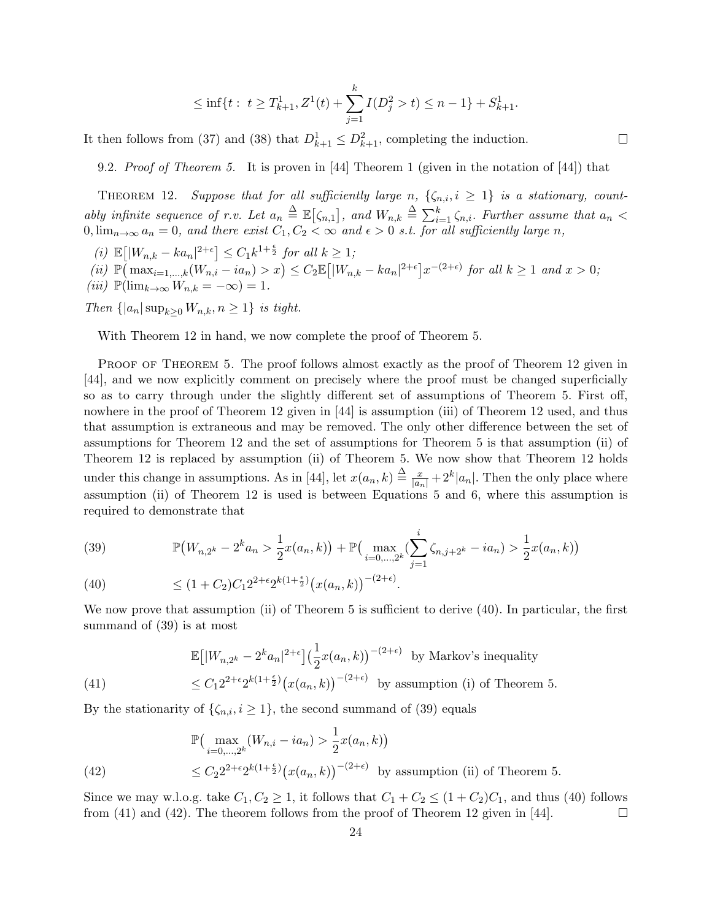$$
\leq \inf\{t: t \geq T_{k+1}^1, Z^1(t) + \sum_{j=1}^k I(D_j^2 > t) \leq n-1\} + S_{k+1}^1.
$$

It then follows from (37) and (38) that  $D_{k+1}^1 \leq D_{k+1}^2$ , completing the induction.

9.2. *Proof of Theorem 5.* It is proven in [44] Theorem 1 (given in the notation of [44]) that

THEOREM 12. *Suppose that for all sufficiently large n*,  $\{\zeta_{n,i}, i \geq 1\}$  *is a stationary, countably infinite sequence of r.v. Let*  $a_n \triangleq \mathbb{E}[\zeta_{n,1}]$ , and  $W_{n,k} \triangleq \sum_{i=1}^k \zeta_{n,i}$ . Further assume that  $a_n <$  $0, \lim_{n\to\infty} a_n = 0$ , and there exist  $C_1, C_2 < \infty$  and  $\epsilon > 0$  s.t. for all sufficiently large *n*,

 $\mathbb{E}[|W_{n,k} - ka_n|^{2+\epsilon}] \leq C_1 k^{1+\frac{\epsilon}{2}}$  *for all*  $k \geq 1$ *;* 

(ii)  $\mathbb{P}(\max_{i=1,\dots,k}(W_{n,i}-ia_n)>x)\leq C_2\mathbb{E}[|W_{n,k}-ka_n|^{2+\epsilon}]x^{-(2+\epsilon)}$  for all  $k\geq 1$  and  $x>0$ ;  $(iii)$   $\mathbb{P}(\lim_{k\to\infty}W_{n,k}=-\infty)=1.$ 

*Then*  $\{|a_n|\sup_{k>0}W_{n,k}, n\geq 1\}$  *is tight.* 

With Theorem 12 in hand, we now complete the proof of Theorem 5.

PROOF OF THEOREM 5. The proof follows almost exactly as the proof of Theorem 12 given in [44], and we now explicitly comment on precisely where the proof must be changed superficially so as to carry through under the slightly different set of assumptions of Theorem 5. First off, nowhere in the proof of Theorem 12 given in [44] is assumption (iii) of Theorem 12 used, and thus that assumption is extraneous and may be removed. The only other difference between the set of assumptions for Theorem 12 and the set of assumptions for Theorem 5 is that assumption (ii) of Theorem 12 is replaced by assumption (ii) of Theorem 5. We now show that Theorem 12 holds under this change in assumptions. As in [44], let  $x(a_n, k) \triangleq \frac{x}{|a_n|} + 2^k |a_n|$ . Then the only place where assumption (ii) of Theorem 12 is used is between Equations 5 and 6, where this assumption is required to demonstrate that

(39) 
$$
\mathbb{P}(W_{n,2^k} - 2^k a_n > \frac{1}{2}x(a_n, k)) + \mathbb{P}(\max_{i=0,\dots,2^k} (\sum_{j=1}^i \zeta_{n,j+2^k} - ia_n) > \frac{1}{2}x(a_n, k))
$$
  
(40) 
$$
\leq (1 + C_2)C_1 2^{2+\epsilon} 2^{k(1+\frac{\epsilon}{2})} (x(a_n, k))^{-(2+\epsilon)}.
$$

We now prove that assumption (ii) of Theorem 5 is sufficient to derive (40). In particular, the first summand of (39) is at most

$$
\mathbb{E}\left[|W_{n,2^k} - 2^k a_n|^{2+\epsilon}\right] \left(\frac{1}{2}x(a_n,k)\right)^{-(2+\epsilon)} \text{ by Markov's inequality}
$$
\n
$$
\leq C_1 2^{2+\epsilon} 2^{k(1+\frac{\epsilon}{2})} \left(x(a_n,k)\right)^{-(2+\epsilon)} \text{ by assumption (i) of Theorem 5.}
$$

By the stationarity of  $\{\zeta_{n,i}, i \geq 1\}$ , the second summand of (39) equals

$$
\mathbb{P}\left(\max_{i=0,\ldots,2^k} (W_{n,i} - ia_n) > \frac{1}{2} x(a_n, k)\right)
$$
\n
$$
\leq C_2 2^{2+\epsilon} 2^{k(1+\frac{\epsilon}{2})} \left(x(a_n, k)\right)^{-(2+\epsilon)} \text{ by assumption (ii) of Theorem 5.}
$$

Since we may w.l.o.g. take  $C_1, C_2 \geq 1$ , it follows that  $C_1 + C_2 \leq (1 + C_2)C_1$ , and thus (40) follows from (41) and (42). The theorem follows from the proof of Theorem 12 given in [44].  $\Box$ 

 $\Box$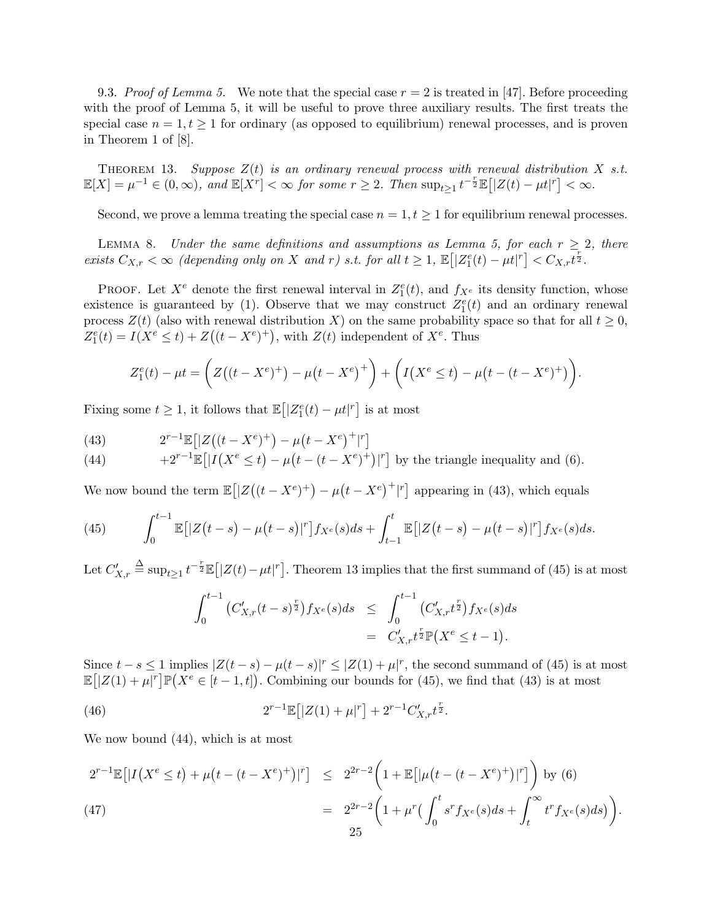9.3. *Proof of Lemma 5.* We note that the special case  $r = 2$  is treated in [47]. Before proceeding with the proof of Lemma 5, it will be useful to prove three auxiliary results. The first treats the special case  $n = 1, t \geq 1$  for ordinary (as opposed to equilibrium) renewal processes, and is proven in Theorem 1 of [8].

THEOREM 13. Suppose  $Z(t)$  is an ordinary renewal process with renewal distribution  $X$  s.t.  $\mathbb{E}[X] = \mu^{-1} \in (0,\infty)$ , and  $\mathbb{E}[X^r] < \infty$  for some  $r \geq 2$ . Then  $\sup_{t \geq 1} t^{-\frac{r}{2}} \mathbb{E}[|Z(t) - \mu t|^r] < \infty$ .

Second, we prove a lemma treating the special case  $n = 1, t \geq 1$  for equilibrium renewal processes.

LEMMA 8. *Under the same definitions and assumptions as Lemma 5, for each*  $r \geq 2$ *, there* exists  $C_{X,r} < \infty$  (depending only on X and r) s.t. for all  $t \geq 1$ ,  $\mathbb{E}\left[|Z_1^e(t) - \mu t|^r\right] < C_{X,r}t^{\frac{r}{2}}$ .

PROOF. Let  $X^e$  denote the first renewal interval in  $Z_1^e(t)$ , and  $f_{X^e}$  its density function, whose existence is guaranteed by (1). Observe that we may construct  $Z_1^e(t)$  and an ordinary renewal process  $Z(t)$  (also with renewal distribution *X*) on the same probability space so that for all  $t \geq 0$ ,  $Z_1^e(t) = I(X^e \le t) + Z((t - X^e)^+)$ , with  $Z(t)$  independent of  $X^e$ . Thus

$$
Z_1^e(t) - \mu t = \left( Z((t - X^e)^+) - \mu(t - X^e)^+ \right) + \left( I(X^e \le t) - \mu(t - (t - X^e)^+) \right).
$$

Fixing some  $t \geq 1$ , it follows that  $\mathbb{E}\left[|Z_1^e(t) - \mu t|^r\right]$  is at most

(43) 
$$
2^{r-1} \mathbb{E} \left[ |Z((t-X^e)^+)-\mu (t-X^e)^+|^r \right]
$$

(44) 
$$
+2^{r-1}\mathbb{E}\left[|I(X^e \leq t) - \mu(t - (t - X^e)^+)|^r\right] \text{ by the triangle inequality and (6).}
$$

We now bound the term  $\mathbb{E}[Z((t - X^e)^+) - \mu(t - X^e)^+]^T$  appearing in (43), which equals

(45) 
$$
\int_0^{t-1} \mathbb{E}[|Z(t-s) - \mu(t-s)|^r] f_{X^e}(s) ds + \int_{t-1}^t \mathbb{E}[|Z(t-s) - \mu(t-s)|^r] f_{X^e}(s) ds.
$$

Let  $C'_{X,r}$  $\stackrel{\Delta}{=} \sup_{t\geq 1} t^{-\frac{r}{2}} \mathbb{E}[|Z(t) - \mu t|^r]$ . Theorem 13 implies that the first summand of (45) is at most

$$
\int_0^{t-1} (C'_{X,r}(t-s)^{\frac{r}{2}}) f_{X^e}(s) ds \leq \int_0^{t-1} (C'_{X,r} t^{\frac{r}{2}}) f_{X^e}(s) ds
$$
  
=  $C'_{X,r} t^{\frac{r}{2}} \mathbb{P}(X^e \leq t-1).$ 

Since  $t-s \leq 1$  implies  $|Z(t-s) - \mu(t-s)|^r \leq |Z(1) + \mu|^r$ , the second summand of (45) is at most  $\mathbb{E}[Z(1) + \mu|^r]\mathbb{P}(X^e \in [t-1,t])$ . Combining our bounds for (45), we find that (43) is at most

(46) 
$$
2^{r-1} \mathbb{E} [|Z(1) + \mu|^r] + 2^{r-1} C'_{X,r} t^{\frac{r}{2}}.
$$

We now bound (44), which is at most

$$
2^{r-1} \mathbb{E} \left[ |I(X^e \le t) + \mu \left( t - (t - X^e)^+ \right) |^r \right] \le 2^{2r-2} \left( 1 + \mathbb{E} \left[ |\mu \left( t - (t - X^e)^+ \right) |^r \right] \right) \text{ by (6)}
$$
\n
$$
= 2^{2r-2} \left( 1 + \mu^r \left( \int_0^t s^r f_{X^e}(s) ds + \int_t^\infty t^r f_{X^e}(s) ds \right) \right).
$$
\n
$$
25
$$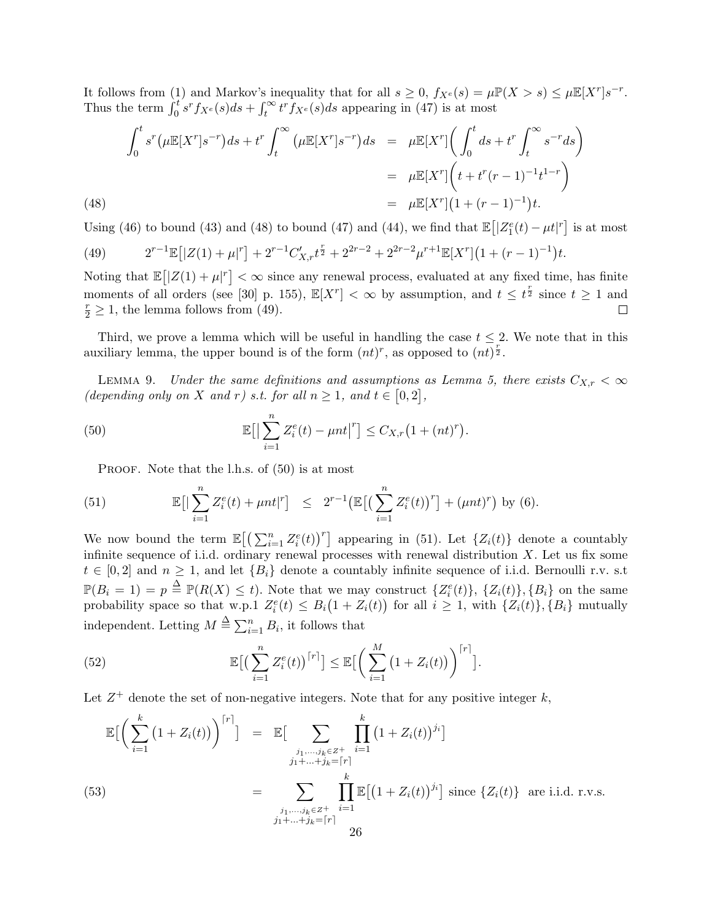It follows from (1) and Markov's inequality that for all  $s \geq 0$ ,  $f_{X^e}(s) = \mu \mathbb{P}(X > s) \leq \mu \mathbb{E}[X^r] s^{-r}$ . Thus the term  $\int_0^t s^r f_{X^e}(s) ds + \int_t^\infty t^r f_{X^e}(s) ds$  appearing in (47) is at most

(48)  
\n
$$
\int_0^t s^r (\mu \mathbb{E}[X^r]s^{-r}) ds + t^r \int_t^\infty (\mu \mathbb{E}[X^r]s^{-r}) ds = \mu \mathbb{E}[X^r] \left( \int_0^t ds + t^r \int_t^\infty s^{-r} ds \right)
$$
\n
$$
= \mu \mathbb{E}[X^r] \left( t + t^r (r - 1)^{-1} t^{1-r} \right)
$$
\n
$$
= \mu \mathbb{E}[X^r] \left( 1 + (r - 1)^{-1} \right) t.
$$

Using (46) to bound (43) and (48) to bound (47) and (44), we find that  $\mathbb{E}\left[|Z_1^e(t) - \mu t|^r\right]$  is at most

(49) 
$$
2^{r-1}\mathbb{E}\left[|Z(1)+\mu|^r\right] + 2^{r-1}C'_{X,r}t^{\frac{r}{2}} + 2^{2r-2} + 2^{2r-2}\mu^{r+1}\mathbb{E}[X^r]\left(1+(r-1)^{-1}\right)t.
$$

Noting that  $\mathbb{E} \left[ |Z(1) + \mu|^r \right] < \infty$  since any renewal process, evaluated at any fixed time, has finite moments of all orders (see [30] p. 155),  $\mathbb{E}[X^r] < \infty$  by assumption, and  $t \leq t^{\frac{r}{2}}$  since  $t \geq 1$  and  $\frac{r}{2} \geq 1$ , the lemma follows from (49).

Third, we prove a lemma which will be useful in handling the case  $t \leq 2$ . We note that in this auxiliary lemma, the upper bound is of the form  $(nt)^r$ , as opposed to  $(n\overline{t})^{\frac{r}{2}}$ .

LEMMA 9. *Under the same definitions and assumptions as Lemma 5, there exists*  $C_{X,r} < \infty$ *(depending only on X and r) s.t. for all*  $n \ge 1$ *, and*  $t \in [0,2]$ *,* 

(50) 
$$
\mathbb{E}\big[\big|\sum_{i=1}^n Z_i^e(t) - \mu nt\big|^r\big] \leq C_{X,r}\big(1 + (nt)^r\big).
$$

PROOF. Note that the l.h.s. of  $(50)$  is at most

(51) 
$$
\mathbb{E}\big[\big|\sum_{i=1}^n Z_i^e(t) + \mu nt\big|^r\big] \leq 2^{r-1} \big(\mathbb{E}\big[\big(\sum_{i=1}^n Z_i^e(t)\big)^r\big] + (\mu nt)^r\big) \text{ by (6)}.
$$

We now bound the term  $\mathbb{E}\left[\left(\sum_{i=1}^n Z_i^e(t)\right)^r\right]$  appearing in (51). Let  $\{Z_i(t)\}\$  denote a countably infinite sequence of i.i.d. ordinary renewal processes with renewal distribution *X*. Let us fix some  $t \in [0,2]$  and  $n \geq 1$ , and let  $\{B_i\}$  denote a countably infinite sequence of i.i.d. Bernoulli r.v. s.t  $\mathbb{P}(B_i = 1) = p \triangleq \mathbb{P}(R(X) \leq t)$ . Note that we may construct  $\{Z_i^e(t)\}, \{Z_i(t)\}, \{B_i\}$  on the same probability space so that w.p.1  $Z_i^e(t) \leq B_i(1 + Z_i(t))$  for all  $i \geq 1$ , with  $\{Z_i(t)\}, \{B_i\}$  mutually independent. Letting  $M \triangleq \sum_{i=1}^{n} B_i$ , it follows that

(52) 
$$
\mathbb{E}\big[\big(\sum_{i=1}^n Z_i^e(t)\big)^{[r]}\big] \leq \mathbb{E}\big[\bigg(\sum_{i=1}^M \big(1+Z_i(t)\big)\bigg)^{[r]}\big].
$$

Let  $Z^+$  denote the set of non-negative integers. Note that for any positive integer  $k$ ,

$$
\mathbb{E}\Big[\Big(\sum_{i=1}^{k} (1+Z_i(t))\Big)^{[r]}\Big] = \mathbb{E}\Big[\sum_{\substack{j_1,\ldots,j_k \in Z^+\\j_1+\ldots+j_k=[r]}} \prod_{i=1}^{k} (1+Z_i(t))^{j_i}\Big]
$$
\n(53)\n
$$
= \sum_{\substack{j_1,\ldots,j_k \in Z^+\\j_1+\ldots+j_k=[r]}} \prod_{i=1}^{k} \mathbb{E}\big[(1+Z_i(t))^{j_i}\big] \text{ since } \{Z_i(t)\} \text{ are i.i.d. r.v.s.}
$$
\n
$$
\frac{1}{26}
$$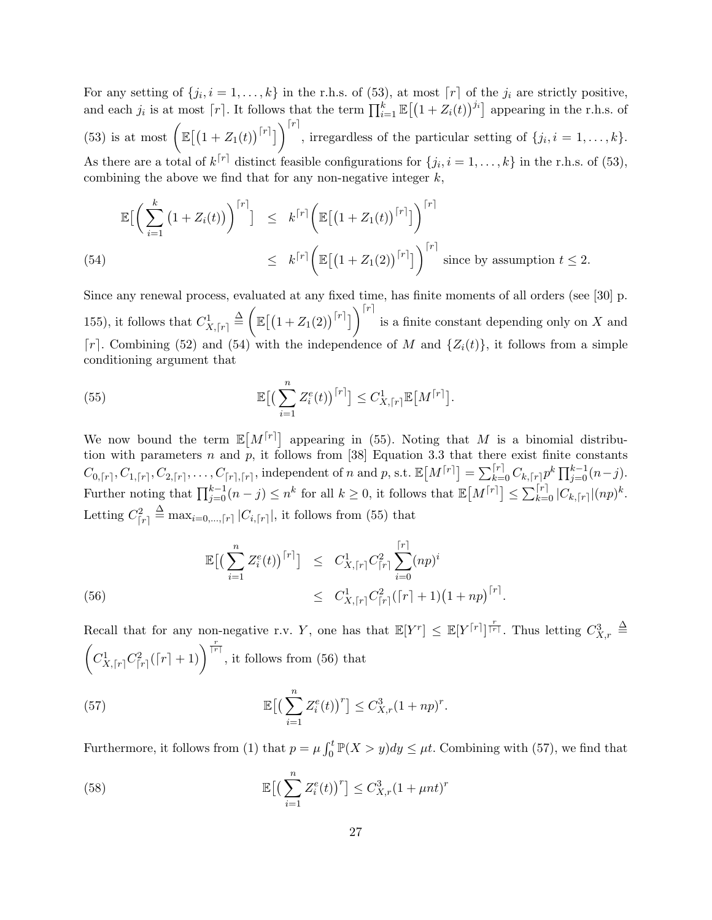For any setting of  $\{j_i, i = 1, \ldots, k\}$  in the r.h.s. of (53), at most  $\lceil r \rceil$  of the  $j_i$  are strictly positive, and each  $j_i$  is at most  $\lceil r \rceil$ . It follows that the term  $\prod_{i=1}^k \mathbb{E}[(1+Z_i(t))^{j_i}]$  appearing in the r.h.s. of  $(53)$  is at most  $\left( \mathbb{E}[(1+Z_1(t))^{[r]}\right)^{[r]}$ , irregardless of the particular setting of  $\{j_i, i = 1, \ldots, k\}$ . As there are a total of  $k^{\lceil r \rceil}$  distinct feasible configurations for  $\{j_i, i = 1, \ldots, k\}$  in the r.h.s. of (53), combining the above we find that for any non-negative integer *k*,

$$
\mathbb{E}\Big[\Big(\sum_{i=1}^k (1+Z_i(t))\Big)^{r}\Big] \leq k^{r}\Big[\mathbb{E}\big[(1+Z_1(t))^{r}\big]\Big]^{r}\Big]
$$
\n
$$
\leq k^{r}\Big[\mathbb{E}\big[(1+Z_1(2))^{r}\big]\Big]^{r}\Big]^{\text{r}}
$$
\n(54)

\n
$$
\leq k^{r}\Big[\mathbb{E}\big[(1+Z_1(2))^{r}\big]\Big]^{r}\text{ since by assumption }t \leq 2.
$$

Since any renewal process, evaluated at any fixed time, has finite moments of all orders (see [30] p. 155), it follows that  $C^1_{X, \lceil r \rceil} \stackrel{\Delta}{=} \left( \right)$  $\mathbb{E}\left[\left(1+Z_1(2)\right)^{\lceil r \rceil}\right]$ is a finite constant depending only on *X* and  $\lceil r \rceil$ . Combining (52) and (54) with the independence of *M* and  $\{Z_i(t)\}\text{, it follows from a simple$ conditioning argument that

(55) 
$$
\mathbb{E}\big[\big(\sum_{i=1}^n Z_i^e(t)\big)^{[r]}\big] \leq C_{X,[r]}^1 \mathbb{E}\big[M^{[r]}\big].
$$

We now bound the term  $\mathbb{E}[M^{[r]}]$  appearing in (55). Noting that M is a binomial distribution with parameters *n* and *p*, it follows from [38] Equation 3.3 that there exist finite constants  $C_{0, [r]}, C_{1, [r]}, C_{2, [r]}, \ldots, C_{[r], [r]},$  independent of n and p, s.t.  $\mathbb{E}[M^{[r]}] = \sum_{k=0}^{[r]} C_{k, [r]} p^k \prod_{j=0}^{k-1} (n-j)$ . Further noting that  $\prod_{j=0}^{k-1}(n-j) \leq n^k$  for all  $k \geq 0$ , it follows that  $\mathbb{E}[M^{[r]}] \leq \sum_{k=0}^{[r]} |C_{k,[r]}| (np)^k$ . Letting  $C_{[r]}^2$  $\triangleq$  max<sub>*i*=0,...,</sub> $\lceil r \rceil$  |*C*<sub>*i*, $\lceil r \rceil$ </sub>|, it follows from (55) that

(56) 
$$
\mathbb{E}\big[\big(\sum_{i=1}^{n} Z_i^e(t)\big)^{[r]}\big] \leq C_{X,[r]}^1 C_{[r]}^2 \sum_{i=0}^{[r]} (np)^i
$$

$$
\leq C_{X,[r]}^1 C_{[r]}^2 ([r]+1) (1+np)^{[r]}.
$$

Recall that for any non-negative r.v. *Y*, one has that  $\mathbb{E}[Y^r] \leq \mathbb{E}[Y^{[r]}]^{\frac{r}{[r]}}$ . Thus letting  $C_{X,r}^3 \triangleq$  $\sqrt{ }$  $C_{X, [r]}^1 C_{[r]}^2 (\lceil r \rceil + 1)$   $\Big)^{\frac{r}{\lceil r \rceil}}$ , it follows from (56) that

(57) 
$$
\mathbb{E}\big[\big(\sum_{i=1}^n Z_i^e(t)\big)^r\big] \leq C_{X,r}^3 (1+np)^r.
$$

Furthermore, it follows from (1) that  $p = \mu \int_0^t \mathbb{P}(X > y) dy \leq \mu t$ . Combining with (57), we find that

(58) 
$$
\mathbb{E}\big[\big(\sum_{i=1}^n Z_i^e(t)\big)^r\big] \leq C_{X,r}^3 (1 + \mu nt)^r
$$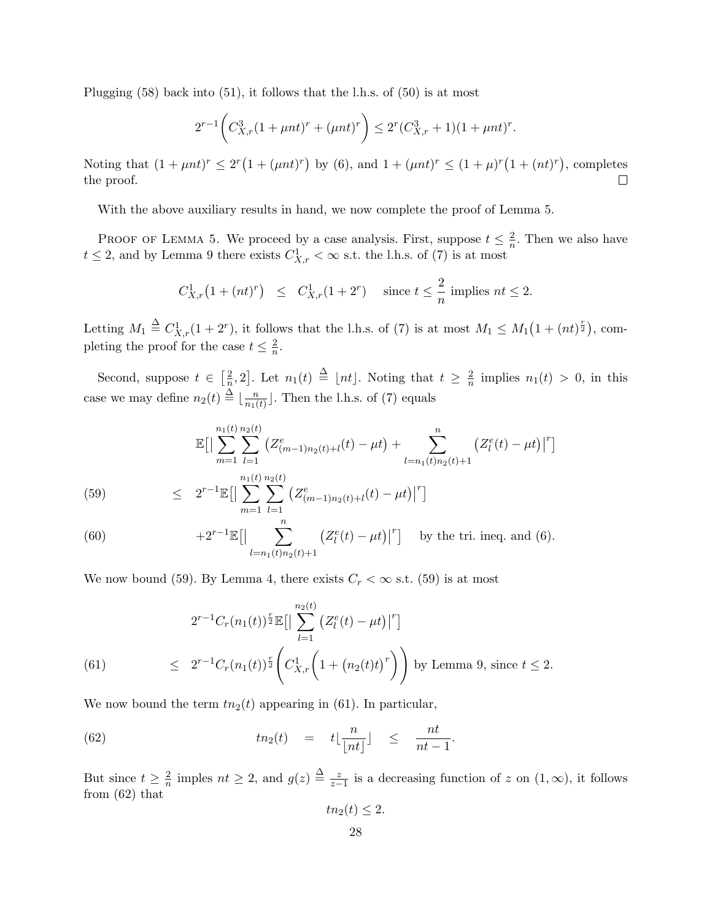Plugging (58) back into (51), it follows that the l.h.s. of (50) is at most

$$
2^{r-1}\bigg(C_{X,r}^3(1+\mu nt)^r+(\mu nt)^r\bigg)\leq 2^r(C_{X,r}^3+1)(1+\mu nt)^r.
$$

Noting that  $(1 + \mu nt)^r \le 2^r (1 + (\mu nt)^r)$  by (6), and  $1 + (\mu nt)^r \le (1 + \mu)^r (1 + (nt)^r)$ , completes the proof.  $\Box$ 

With the above auxiliary results in hand, we now complete the proof of Lemma 5.

PROOF OF LEMMA 5. We proceed by a case analysis. First, suppose  $t \leq \frac{2}{n}$  $\frac{2}{n}$ . Then we also have  $t \leq 2$ , and by Lemma 9 there exists  $C_{X,r}^1 < \infty$  s.t. the l.h.s. of (7) is at most

$$
C_{X,r}^1(1+(nt)^r) \le C_{X,r}^1(1+2^r) \quad \text{since } t \le \frac{2}{n} \text{ implies } nt \le 2.
$$

Letting  $M_1 \triangleq C_{X,r}^1(1+2^r)$ , it follows that the l.h.s. of (7) is at most  $M_1 \leq M_1(1+(nt)^{\frac{r}{2}})$ , completing the proof for the case  $t \leq \frac{2}{n}$  $\frac{2}{n}$ .

Second, suppose  $t \in \left[\frac{2}{n}\right]$  $\frac{2}{n}$ , 2. Let  $n_1(t) \triangleq \lfloor nt \rfloor$ . Noting that  $t \geq \frac{2}{n}$  $\frac{2}{n}$  implies  $n_1(t) > 0$ , in this case we may define  $n_2(t) \triangleq \lfloor \frac{n}{n_1(t)} \rfloor$  $\frac{n}{n_1(t)}$ . Then the l.h.s. of (7) equals

$$
\mathbb{E}\Big[\Big|\sum_{m=1}^{n_1(t)}\sum_{l=1}^{n_2(t)}\big(Z_{(m-1)n_2(t)+l}^e(t)-\mu t\big)+\sum_{l=n_1(t)n_2(t)+1}^{n}\big(Z_l^e(t)-\mu t\big)\Big|^r\Big]
$$
  

$$
\sum_{n_1(t)n_2(t)}^{n_1(t)n_2(t)}
$$

(59) 
$$
\leq 2^{r-1} \mathbb{E} \Big[ \Big| \sum_{m=1}^{n_1(t)} \sum_{l=1}^{n_2(t)} \big( Z_{(m-1)n_2(t)+l}^e(t) - \mu t \big) \Big|^r \Big]
$$

(60) 
$$
+2^{r-1}\mathbb{E}\left[\left|\sum_{l=n_1(t)n_2(t)+1}^{n} (Z_l^e(t) - \mu t)\right|^r\right]
$$
 by the tri. ineq. and (6).

We now bound (59). By Lemma 4, there exists  $C_r < \infty$  s.t. (59) is at most

(61) 
$$
2^{r-1}C_r(n_1(t))^{\frac{r}{2}} \mathbb{E}\Big[\Big|\sum_{l=1}^{n_2(t)} \big(Z_l^e(t) - \mu t\big)\Big|^r\Big]
$$
  
 
$$
\leq 2^{r-1}C_r(n_1(t))^{\frac{r}{2}} \left(C_{X,r}^1\Big(1 + \big(n_2(t)t\big)^r\Big)\right) \text{ by Lemma 9, since } t \leq 2.
$$

We now bound the term  $tn_2(t)$  appearing in (61). In particular,

(62) 
$$
tn_2(t) = t\lfloor \frac{n}{\lfloor nt \rfloor} \rfloor \leq \frac{nt}{nt-1}.
$$

But since  $t \geq \frac{2}{n}$  $\frac{2}{n}$  imples  $nt \geq 2$ , and  $g(z) \triangleq \frac{z}{z-z}$  $\frac{z}{z-1}$  is a decreasing function of *z* on  $(1, \infty)$ , it follows from (62) that

$$
tn_2(t)\leq 2.
$$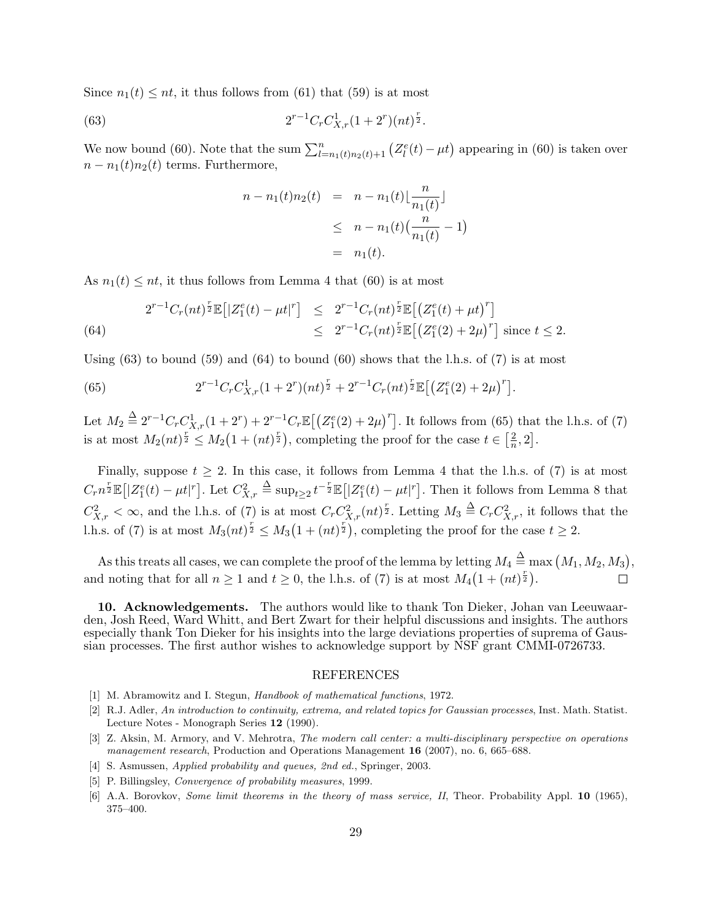Since  $n_1(t) \leq nt$ , it thus follows from (61) that (59) is at most

(63) 
$$
2^{r-1}C_rC_{X,r}^1(1+2^r)(nt)^{\frac{r}{2}}.
$$

We now bound (60). Note that the sum  $\sum_{l=n_1(t)n_2(t)+1}^{n} (Z_l^e(t) - \mu t)$  appearing in (60) is taken over  $n - n_1(t)n_2(t)$  terms. Furthermore,

$$
n - n_1(t)n_2(t) = n - n_1(t) \left[ \frac{n}{n_1(t)} \right]
$$
  
\n
$$
\leq n - n_1(t) \left( \frac{n}{n_1(t)} - 1 \right)
$$
  
\n
$$
= n_1(t).
$$

As  $n_1(t) \leq nt$ , it thus follows from Lemma 4 that (60) is at most

(64) 
$$
2^{r-1}C_r(nt)^{\frac{r}{2}}\mathbb{E}\left[|Z_1^e(t) - \mu t|^r\right] \leq 2^{r-1}C_r(nt)^{\frac{r}{2}}\mathbb{E}\left[\left(Z_1^e(t) + \mu t\right)^r\right] \leq 2^{r-1}C_r(nt)^{\frac{r}{2}}\mathbb{E}\left[\left(Z_1^e(2) + 2\mu\right)^r\right] \text{ since } t \leq 2.
$$

Using  $(63)$  to bound  $(59)$  and  $(64)$  to bound  $(60)$  shows that the l.h.s. of  $(7)$  is at most

(65) 
$$
2^{r-1}C_rC_{X,r}^1(1+2^r)(nt)^{\frac{r}{2}}+2^{r-1}C_r(nt)^{\frac{r}{2}}\mathbb{E}\big[\big(Z_1^e(2)+2\mu\big)^r\big].
$$

Let  $M_2 \triangleq 2^{r-1}C_r C_{X,r}^1(1+2^r) + 2^{r-1}C_r \mathbb{E}\left[\left(Z_1^e(2) + 2\mu\right)^r\right]$ . It follows from (65) that the l.h.s. of (7) is at most  $M_2(nt)^{\frac{r}{2}} \leq M_2(1+(nt)^{\frac{r}{2}})$ , completing the proof for the case  $t \in \left[\frac{2}{n}\right]$  $\frac{2}{n}, 2].$ 

Finally, suppose  $t \geq 2$ . In this case, it follows from Lemma 4 that the l.h.s. of (7) is at most  $C_r n^{\frac{r}{2}} \mathbb{E} [ |Z_1^e(t) - \mu t|^r ]$ . Let  $C_{X,r}^2$  $\stackrel{\Delta}{=} \sup_{t\geq 2} t^{-\frac{r}{2}} \mathbb{E}\left[ |Z_1^e(t) - \mu t|^r \right]$ . Then it follows from Lemma 8 that  $C_{X,r}^2 < \infty$ , and the l.h.s. of (7) is at most  $C_r C_{X,r}^2 (nt)^{\frac{r}{2}}$ . Letting  $M_3 \triangleq C_r C_{X,r}^2$ , it follows that the 1.h.s. of (7) is at most  $M_3(nt)^{\frac{r}{2}} \leq M_3(1+(nt)^{\frac{r}{2}})$ , completing the proof for the case  $t \geq 2$ .

As this treats all cases, we can complete the proof of the lemma by letting  $M_4 \stackrel{\Delta}{=} \max (M_1, M_2, M_3)$ , and noting that for all  $n \ge 1$  and  $t \ge 0$ , the l.h.s. of (7) is at most  $M_4(1+(nt)^{\frac{r}{2}})$ .

**10. Acknowledgements.** The authors would like to thank Ton Dieker, Johan van Leeuwaarden, Josh Reed, Ward Whitt, and Bert Zwart for their helpful discussions and insights. The authors especially thank Ton Dieker for his insights into the large deviations properties of suprema of Gaussian processes. The first author wishes to acknowledge support by NSF grant CMMI-0726733.

#### REFERENCES

- [1] M. Abramowitz and I. Stegun, *Handbook of mathematical functions*, 1972.
- [2] R.J. Adler, *An introduction to continuity, extrema, and related topics for Gaussian processes*, Inst. Math. Statist. Lecture Notes - Monograph Series **12** (1990).
- [3] Z. Aksin, M. Armory, and V. Mehrotra, *The modern call center: a multi-disciplinary perspective on operations management research*, Production and Operations Management **16** (2007), no. 6, 665–688.
- [4] S. Asmussen, *Applied probability and queues, 2nd ed.*, Springer, 2003.
- [5] P. Billingsley, *Convergence of probability measures*, 1999.
- [6] A.A. Borovkov, *Some limit theorems in the theory of mass service, II*, Theor. Probability Appl. **10** (1965), 375–400.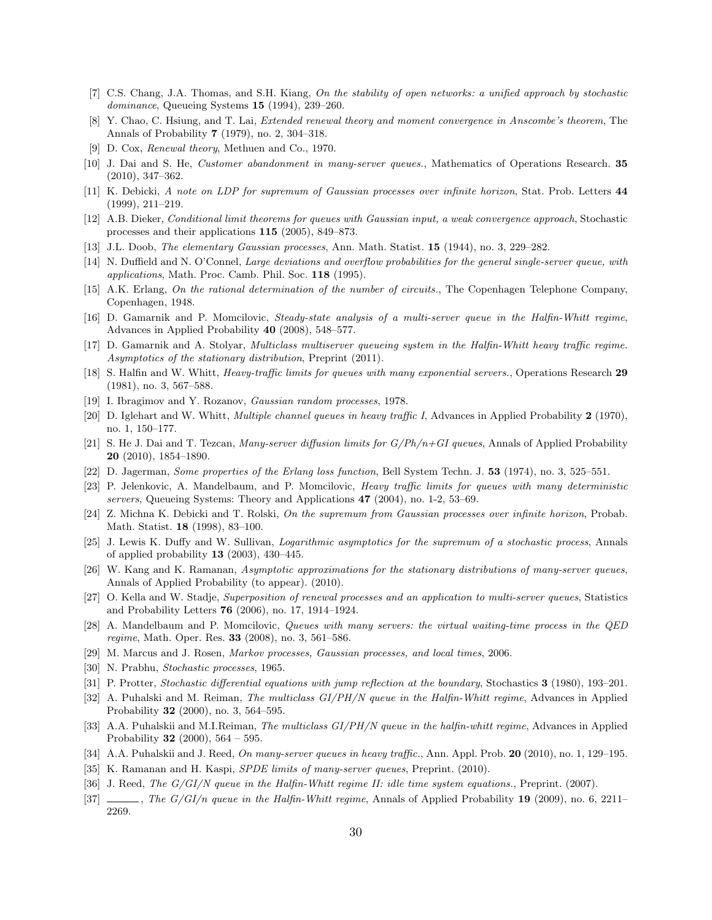- [7] C.S. Chang, J.A. Thomas, and S.H. Kiang, *On the stability of open networks: a unified approach by stochastic dominance*, Queueing Systems **15** (1994), 239–260.
- [8] Y. Chao, C. Hsiung, and T. Lai, *Extended renewal theory and moment convergence in Anscombe's theorem*, The Annals of Probability **7** (1979), no. 2, 304–318.
- [9] D. Cox, *Renewal theory*, Methuen and Co., 1970.
- [10] J. Dai and S. He, *Customer abandonment in many-server queues.*, Mathematics of Operations Research. **35** (2010), 347–362.
- [11] K. Debicki, *A note on LDP for supremum of Gaussian processes over infinite horizon*, Stat. Prob. Letters **44** (1999), 211–219.
- [12] A.B. Dieker, *Conditional limit theorems for queues with Gaussian input, a weak convergence approach*, Stochastic processes and their applications **115** (2005), 849–873.
- [13] J.L. Doob, *The elementary Gaussian processes*, Ann. Math. Statist. **15** (1944), no. 3, 229–282.
- [14] N. Duffield and N. O'Connel, *Large deviations and overflow probabilities for the general single-server queue, with applications*, Math. Proc. Camb. Phil. Soc. **118** (1995).
- [15] A.K. Erlang, *On the rational determination of the number of circuits.*, The Copenhagen Telephone Company, Copenhagen, 1948.
- [16] D. Gamarnik and P. Momcilovic, *Steady-state analysis of a multi-server queue in the Halfin-Whitt regime*, Advances in Applied Probability **40** (2008), 548–577.
- [17] D. Gamarnik and A. Stolyar, *Multiclass multiserver queueing system in the Halfin-Whitt heavy traffic regime. Asymptotics of the stationary distribution*, Preprint (2011).
- [18] S. Halfin and W. Whitt, *Heavy-traffic limits for queues with many exponential servers.*, Operations Research **29** (1981), no. 3, 567–588.
- [19] I. Ibragimov and Y. Rozanov, *Gaussian random processes*, 1978.
- [20] D. Iglehart and W. Whitt, *Multiple channel queues in heavy traffic I*, Advances in Applied Probability **2** (1970), no. 1, 150–177.
- [21] S. He J. Dai and T. Tezcan, *Many-server diffusion limits for G/Ph/n+GI queues*, Annals of Applied Probability **20** (2010), 1854–1890.
- [22] D. Jagerman, *Some properties of the Erlang loss function*, Bell System Techn. J. **53** (1974), no. 3, 525–551.
- [23] P. Jelenkovic, A. Mandelbaum, and P. Momcilovic, *Heavy traffic limits for queues with many deterministic servers*, Queueing Systems: Theory and Applications **47** (2004), no. 1-2, 53–69.
- [24] Z. Michna K. Debicki and T. Rolski, *On the supremum from Gaussian processes over infinite horizon*, Probab. Math. Statist. **18** (1998), 83–100.
- [25] J. Lewis K. Duffy and W. Sullivan, *Logarithmic asymptotics for the supremum of a stochastic process*, Annals of applied probability **13** (2003), 430–445.
- [26] W. Kang and K. Ramanan, *Asymptotic approximations for the stationary distributions of many-server queues*, Annals of Applied Probability (to appear). (2010).
- [27] O. Kella and W. Stadje, *Superposition of renewal processes and an application to multi-server queues*, Statistics and Probability Letters **76** (2006), no. 17, 1914–1924.
- [28] A. Mandelbaum and P. Momcilovic, *Queues with many servers: the virtual waiting-time process in the QED regime*, Math. Oper. Res. **33** (2008), no. 3, 561–586.
- [29] M. Marcus and J. Rosen, *Markov processes, Gaussian processes, and local times*, 2006.
- [30] N. Prabhu, *Stochastic processes*, 1965.
- [31] P. Protter, *Stochastic differential equations with jump reflection at the boundary*, Stochastics **3** (1980), 193–201.
- [32] A. Puhalski and M. Reiman, *The multiclass GI/PH/N queue in the Halfin-Whitt regime*, Advances in Applied Probability **32** (2000), no. 3, 564–595.
- [33] A.A. Puhalskii and M.I.Reiman, *The multiclass GI/PH/N queue in the halfin-whitt regime*, Advances in Applied Probability **32** (2000), 564 – 595.
- [34] A.A. Puhalskii and J. Reed, *On many-server queues in heavy traffic.*, Ann. Appl. Prob. **20** (2010), no. 1, 129–195.
- [35] K. Ramanan and H. Kaspi, *SPDE limits of many-server queues*, Preprint. (2010).
- [36] J. Reed, *The G/GI/N queue in the Halfin-Whitt regime II: idle time system equations.*, Preprint. (2007).
- [37] , *The G/GI/n queue in the Halfin-Whitt regime*, Annals of Applied Probability **19** (2009), no. 6, 2211– 2269.